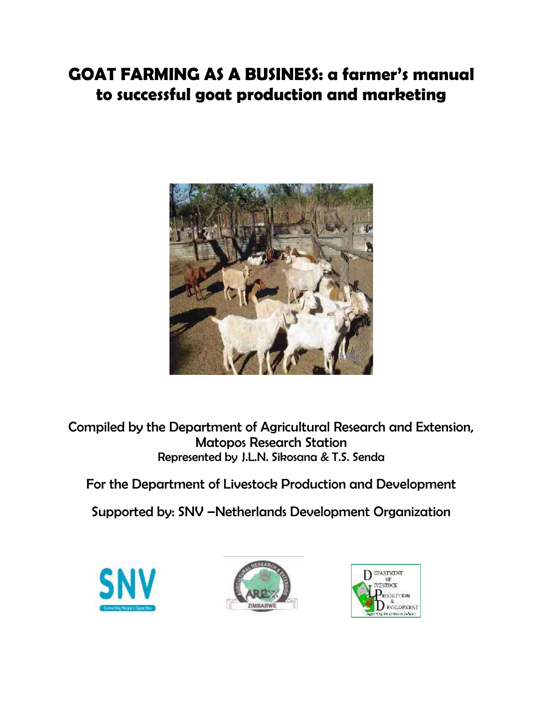# **GOAT FARMING AS A BUSINESS: a farmer's manual to successful goat production and marketing**



Compiled by the Department of Agricultural Research and Extension, Matopos Research Station Represented by J.L.N. Sikosana & T.S. Senda

For the Department of Livestock Production and Development

Supported by: SNV –Netherlands Development Organization





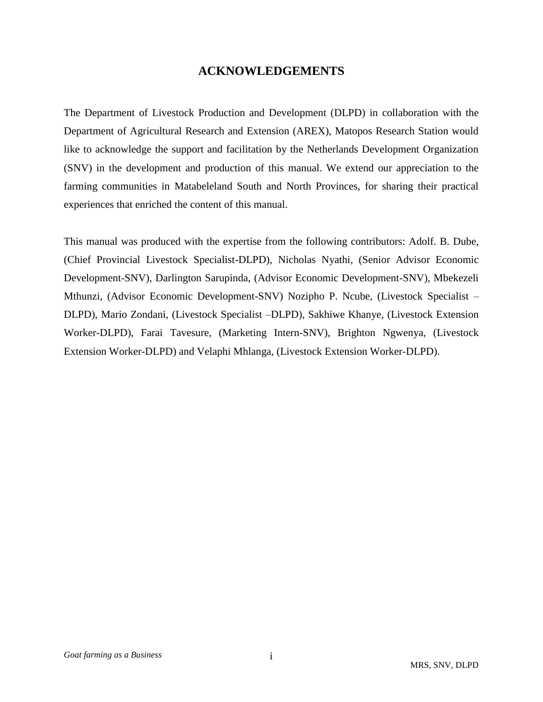# **ACKNOWLEDGEMENTS**

The Department of Livestock Production and Development (DLPD) in collaboration with the Department of Agricultural Research and Extension (AREX), Matopos Research Station would like to acknowledge the support and facilitation by the Netherlands Development Organization (SNV) in the development and production of this manual. We extend our appreciation to the farming communities in Matabeleland South and North Provinces, for sharing their practical experiences that enriched the content of this manual.

This manual was produced with the expertise from the following contributors: Adolf. B. Dube, (Chief Provincial Livestock Specialist-DLPD), Nicholas Nyathi, (Senior Advisor Economic Development-SNV), Darlington Sarupinda, (Advisor Economic Development-SNV), Mbekezeli Mthunzi, (Advisor Economic Development-SNV) Nozipho P. Ncube, (Livestock Specialist – DLPD), Mario Zondani, (Livestock Specialist –DLPD), Sakhiwe Khanye, (Livestock Extension Worker-DLPD), Farai Tavesure, (Marketing Intern-SNV), Brighton Ngwenya, (Livestock Extension Worker-DLPD) and Velaphi Mhlanga, (Livestock Extension Worker-DLPD).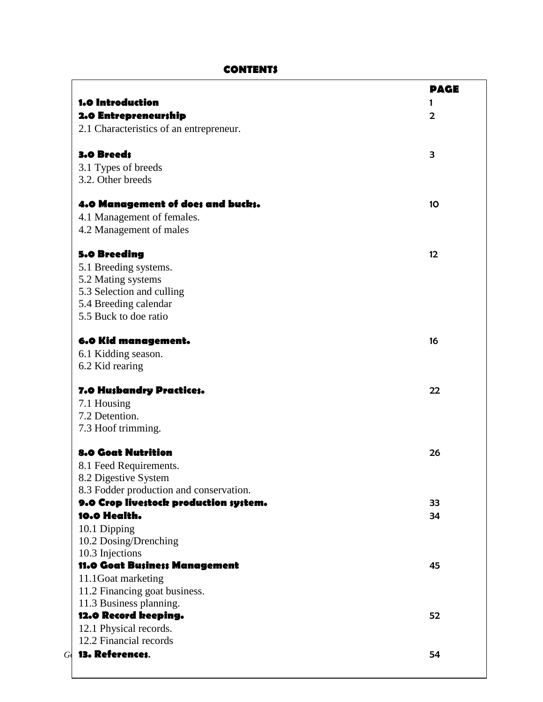# **CONTENTS**

 $\mathsf{r}$ 

|                                         | <b>PAGE</b> |
|-----------------------------------------|-------------|
| <b>1.0 Introduction</b>                 | 1           |
| 2.0 Entrepreneurship                    | 2           |
| 2.1 Characteristics of an entrepreneur. |             |
| 3.0 Breed;                              | З           |
| 3.1 Types of breeds                     |             |
| 3.2. Other breeds                       |             |
| 4.0 Management of does and bucks.       | 10          |
| 4.1 Management of females.              |             |
| 4.2 Management of males                 |             |
| <b>5.0 Breeding</b>                     | 12          |
| 5.1 Breeding systems.                   |             |
| 5.2 Mating systems                      |             |
| 5.3 Selection and culling               |             |
| 5.4 Breeding calendar                   |             |
| 5.5 Buck to doe ratio                   |             |
| 6.0 Kid management.                     | 16          |
| 6.1 Kidding season.                     |             |
| 6.2 Kid rearing                         |             |
| 7.0 Husbandry Practices.                | 22          |
| 7.1 Housing                             |             |
| 7.2 Detention.                          |             |
| 7.3 Hoof trimming.                      |             |
| <b>8.0 Goat Nutrition</b>               | 26          |
| 8.1 Feed Requirements.                  |             |
| 8.2 Digestive System                    |             |
| 8.3 Fodder production and conservation. |             |
| 9.0 Crop livestock production system.   | 33          |
| 10.0 Health.                            | 34          |
| 10.1 Dipping                            |             |
| 10.2 Dosing/Drenching                   |             |
| 10.3 Injections                         |             |
| 11.0 Goat Business Management           | 45          |
| 11.1 Goat marketing                     |             |
| 11.2 Financing goat business.           |             |
| 11.3 Business planning.                 |             |
| 12.0 Record keeping.                    | 52          |
| 12.1 Physical records.                  |             |
| 12.2 Financial records                  |             |
| $G$ 13. References.                     |             |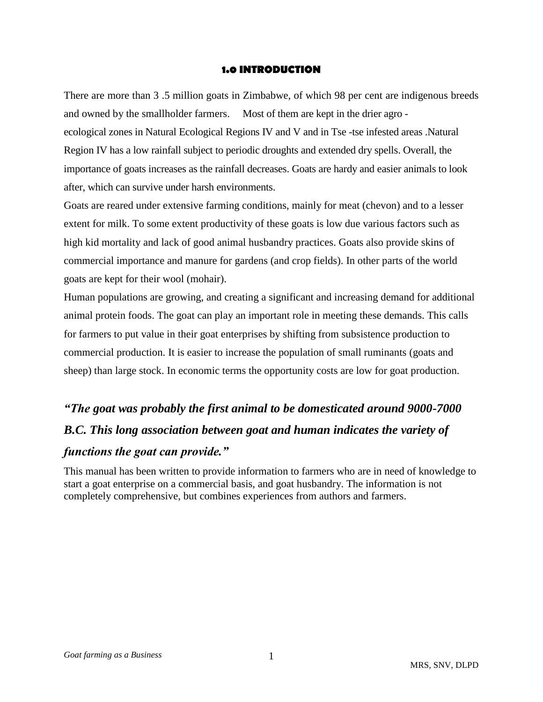#### **1.0 INTRODUCTION**

There are more than 3 .5 million goats in Zimbabwe, of which 98 per cent are indigenous breeds and owned by the smallholder farmers. Most of them are kept in the drier agro ecological zones in Natural Ecological Regions IV and V and in Tse -tse infested areas .Natural Region IV has a low rainfall subject to periodic droughts and extended dry spells. Overall, the importance of goats increases as the rainfall decreases. Goats are hardy and easier animals to look after, which can survive under harsh environments.

Goats are reared under extensive farming conditions, mainly for meat (chevon) and to a lesser extent for milk. To some extent productivity of these goats is low due various factors such as high kid mortality and lack of good animal husbandry practices. Goats also provide skins of commercial importance and manure for gardens (and crop fields). In other parts of the world goats are kept for their wool (mohair).

Human populations are growing, and creating a significant and increasing demand for additional animal protein foods. The goat can play an important role in meeting these demands. This calls for farmers to put value in their goat enterprises by shifting from subsistence production to commercial production. It is easier to increase the population of small ruminants (goats and sheep) than large stock. In economic terms the opportunity costs are low for goat production.

# *"The goat was probably the first animal to be domesticated around 9000-7000 B.C. This long association between goat and human indicates the variety of functions the goat can provide."*

This manual has been written to provide information to farmers who are in need of knowledge to start a goat enterprise on a commercial basis, and goat husbandry. The information is not completely comprehensive, but combines experiences from authors and farmers.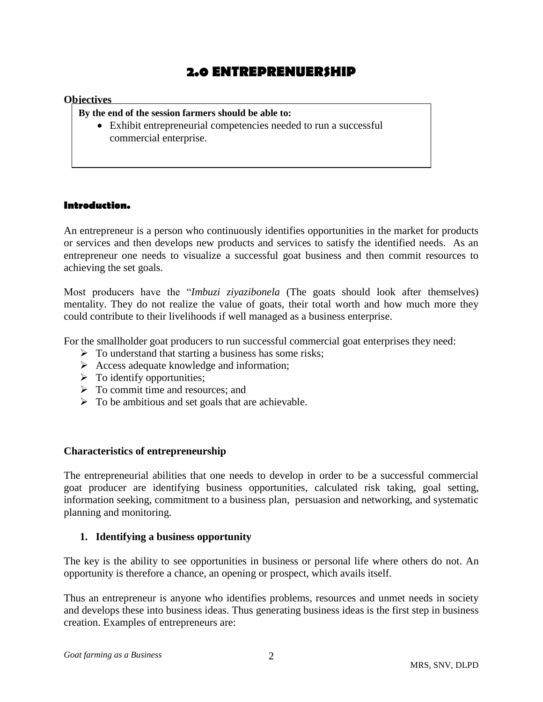# **2.0 ENTREPRENUERSHIP**

#### **Objectives**

**By the end of the session farmers should be able to:**

 Exhibit entrepreneurial competencies needed to run a successful commercial enterprise.

#### **Introduction.**

An entrepreneur is a person who continuously identifies opportunities in the market for products or services and then develops new products and services to satisfy the identified needs. As an entrepreneur one needs to visualize a successful goat business and then commit resources to achieving the set goals.

Most producers have the "*Imbuzi ziyazibonela* (The goats should look after themselves) mentality. They do not realize the value of goats, their total worth and how much more they could contribute to their livelihoods if well managed as a business enterprise.

For the smallholder goat producers to run successful commercial goat enterprises they need:

- $\triangleright$  To understand that starting a business has some risks;
- $\triangleright$  Access adequate knowledge and information;
- $\triangleright$  To identify opportunities;
- $\triangleright$  To commit time and resources; and
- $\triangleright$  To be ambitious and set goals that are achievable.

#### **Characteristics of entrepreneurship**

The entrepreneurial abilities that one needs to develop in order to be a successful commercial goat producer are identifying business opportunities, calculated risk taking, goal setting, information seeking, commitment to a business plan, persuasion and networking, and systematic planning and monitoring.

#### **1. Identifying a business opportunity**

The key is the ability to see opportunities in business or personal life where others do not. An opportunity is therefore a chance, an opening or prospect, which avails itself.

Thus an entrepreneur is anyone who identifies problems, resources and unmet needs in society and develops these into business ideas. Thus generating business ideas is the first step in business creation. Examples of entrepreneurs are: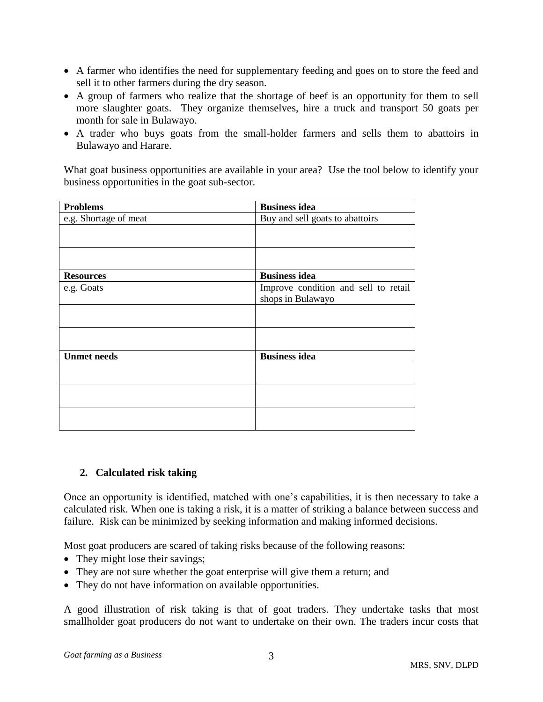- A farmer who identifies the need for supplementary feeding and goes on to store the feed and sell it to other farmers during the dry season.
- A group of farmers who realize that the shortage of beef is an opportunity for them to sell more slaughter goats. They organize themselves, hire a truck and transport 50 goats per month for sale in Bulawayo.
- A trader who buys goats from the small-holder farmers and sells them to abattoirs in Bulawayo and Harare.

What goat business opportunities are available in your area? Use the tool below to identify your business opportunities in the goat sub-sector.

| <b>Problems</b>       | <b>Business idea</b>                 |  |  |  |
|-----------------------|--------------------------------------|--|--|--|
| e.g. Shortage of meat | Buy and sell goats to abattoirs      |  |  |  |
|                       |                                      |  |  |  |
|                       |                                      |  |  |  |
|                       |                                      |  |  |  |
| <b>Resources</b>      | <b>Business idea</b>                 |  |  |  |
| e.g. Goats            | Improve condition and sell to retail |  |  |  |
|                       | shops in Bulawayo                    |  |  |  |
|                       |                                      |  |  |  |
|                       |                                      |  |  |  |
|                       |                                      |  |  |  |
| <b>Unmet needs</b>    | <b>Business idea</b>                 |  |  |  |
|                       |                                      |  |  |  |
|                       |                                      |  |  |  |
|                       |                                      |  |  |  |
|                       |                                      |  |  |  |
|                       |                                      |  |  |  |
|                       |                                      |  |  |  |

# **2. Calculated risk taking**

Once an opportunity is identified, matched with one's capabilities, it is then necessary to take a calculated risk. When one is taking a risk, it is a matter of striking a balance between success and failure. Risk can be minimized by seeking information and making informed decisions.

Most goat producers are scared of taking risks because of the following reasons:

- They might lose their savings;
- They are not sure whether the goat enterprise will give them a return; and
- They do not have information on available opportunities.

A good illustration of risk taking is that of goat traders. They undertake tasks that most smallholder goat producers do not want to undertake on their own. The traders incur costs that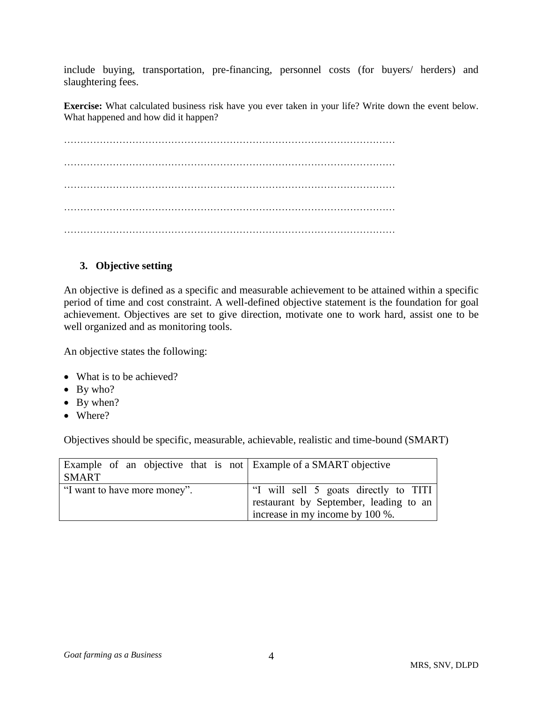include buying, transportation, pre-financing, personnel costs (for buyers/ herders) and slaughtering fees.

**Exercise:** What calculated business risk have you ever taken in your life? Write down the event below. What happened and how did it happen?

………………………………………………………………………………………… ………………………………………………………………………………………… …………………………………………………………………………………………

# **3. Objective setting**

An objective is defined as a specific and measurable achievement to be attained within a specific period of time and cost constraint. A well-defined objective statement is the foundation for goal achievement. Objectives are set to give direction, motivate one to work hard, assist one to be well organized and as monitoring tools.

An objective states the following:

- What is to be achieved?
- By who?
- $\bullet$  By when?
- Where?

Objectives should be specific, measurable, achievable, realistic and time-bound (SMART)

| Example of an objective that is not Example of a SMART objective<br><b>SMART</b> |                                                                                                                    |
|----------------------------------------------------------------------------------|--------------------------------------------------------------------------------------------------------------------|
| "I want to have more money".                                                     | "I will sell 5 goats directly to TITI<br>restaurant by September, leading to an<br>increase in my income by 100 %. |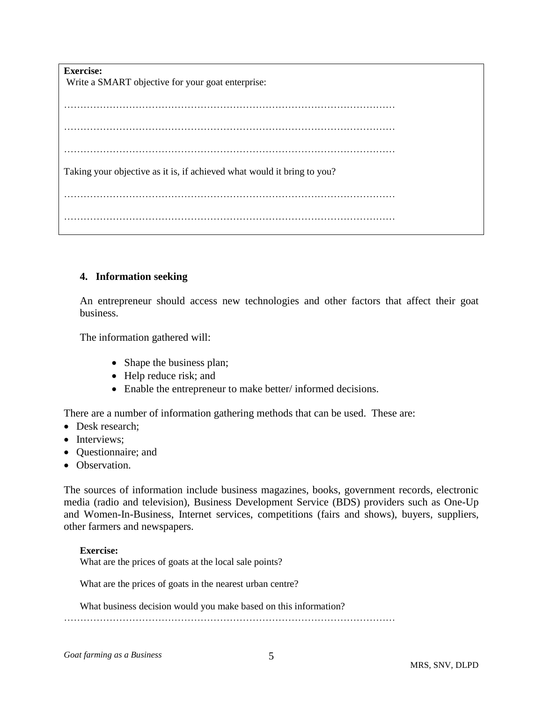| <b>Exercise:</b><br>Write a SMART objective for your goat enterprise:   |  |  |  |  |  |
|-------------------------------------------------------------------------|--|--|--|--|--|
|                                                                         |  |  |  |  |  |
|                                                                         |  |  |  |  |  |
|                                                                         |  |  |  |  |  |
| Taking your objective as it is, if achieved what would it bring to you? |  |  |  |  |  |
|                                                                         |  |  |  |  |  |
|                                                                         |  |  |  |  |  |
|                                                                         |  |  |  |  |  |

#### **4. Information seeking**

An entrepreneur should access new technologies and other factors that affect their goat business.

The information gathered will:

- Shape the business plan;
- Help reduce risk; and
- Enable the entrepreneur to make better/ informed decisions.

There are a number of information gathering methods that can be used. These are:

- Desk research;
- Interviews;
- Questionnaire; and
- Observation.

The sources of information include business magazines, books, government records, electronic media (radio and television), Business Development Service (BDS) providers such as One-Up and Women-In-Business, Internet services, competitions (fairs and shows), buyers, suppliers, other farmers and newspapers.

#### **Exercise:**

What are the prices of goats at the local sale points?

What are the prices of goats in the nearest urban centre?

What business decision would you make based on this information?

…………………………………………………………………………………………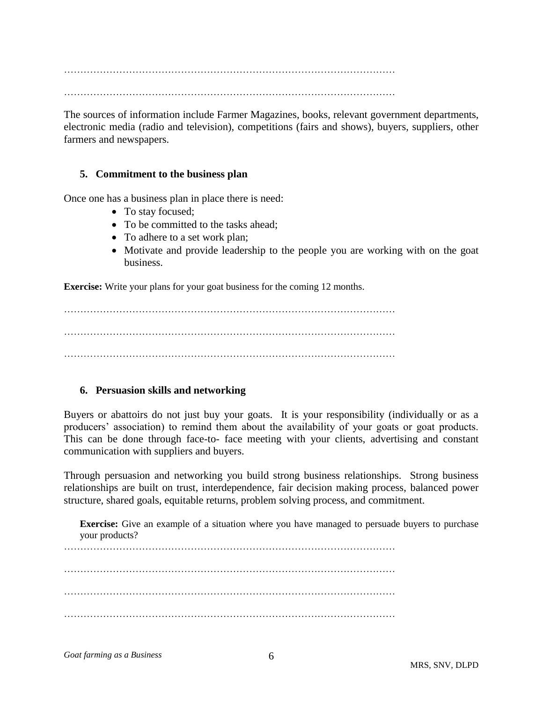………………………………………………………………………………………… …………………………………………………………………………………………

The sources of information include Farmer Magazines, books, relevant government departments, electronic media (radio and television), competitions (fairs and shows), buyers, suppliers, other farmers and newspapers.

## **5. Commitment to the business plan**

Once one has a business plan in place there is need:

- To stay focused;
- To be committed to the tasks ahead;
- To adhere to a set work plan;
- Motivate and provide leadership to the people you are working with on the goat business.

**Exercise:** Write your plans for your goat business for the coming 12 months.

…………………………………………………………………………………………

#### **6. Persuasion skills and networking**

Buyers or abattoirs do not just buy your goats. It is your responsibility (individually or as a producers' association) to remind them about the availability of your goats or goat products. This can be done through face-to- face meeting with your clients, advertising and constant communication with suppliers and buyers.

Through persuasion and networking you build strong business relationships. Strong business relationships are built on trust, interdependence, fair decision making process, balanced power structure, shared goals, equitable returns, problem solving process, and commitment.

**Exercise:** Give an example of a situation where you have managed to persuade buyers to purchase your products?

………………………………………………………………………………………… …………………………………………………………………………………………

…………………………………………………………………………………………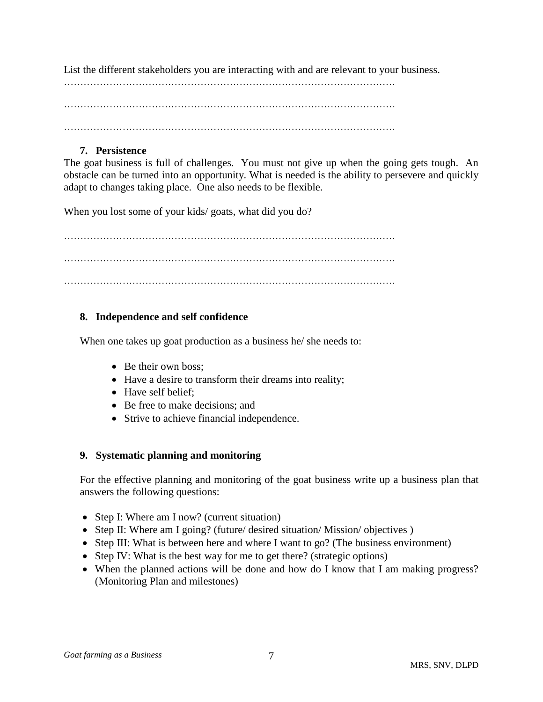List the different stakeholders you are interacting with and are relevant to your business.

………………………………………………………………………………………… …………………………………………………………………………………………

#### **7. Persistence**

The goat business is full of challenges. You must not give up when the going gets tough. An obstacle can be turned into an opportunity. What is needed is the ability to persevere and quickly adapt to changes taking place. One also needs to be flexible.

When you lost some of your kids/ goats, what did you do?

…………………………………………………………………………………………

# **8. Independence and self confidence**

When one takes up goat production as a business he/ she needs to:

- Be their own boss;
- Have a desire to transform their dreams into reality;
- Have self belief:
- Be free to make decisions; and
- Strive to achieve financial independence.

#### **9. Systematic planning and monitoring**

For the effective planning and monitoring of the goat business write up a business plan that answers the following questions:

- Step I: Where am I now? (current situation)
- Step II: Where am I going? (future/ desired situation/ Mission/ objectives )
- Step III: What is between here and where I want to go? (The business environment)
- Step IV: What is the best way for me to get there? (strategic options)
- When the planned actions will be done and how do I know that I am making progress? (Monitoring Plan and milestones)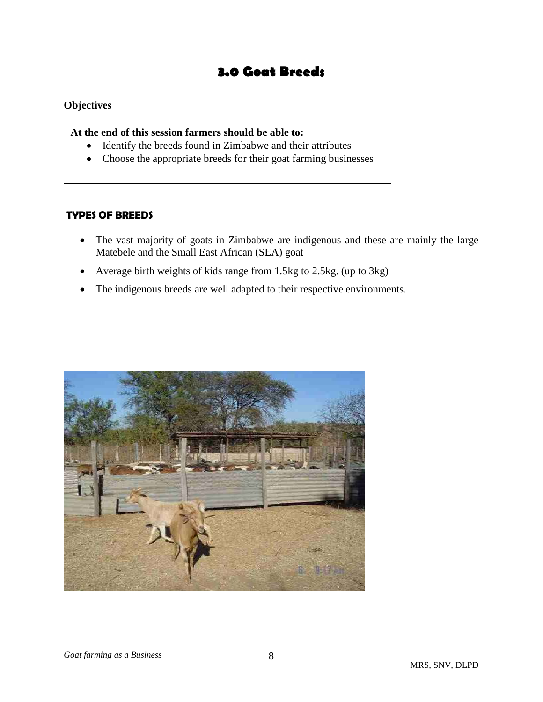# **3.0 Goat Breeds**

## **Objectives**

**At the end of this session farmers should be able to:**

- Identify the breeds found in Zimbabwe and their attributes
- Choose the appropriate breeds for their goat farming businesses

## **TYPES OF BREEDS**

- The vast majority of goats in Zimbabwe are indigenous and these are mainly the large Matebele and the Small East African (SEA) goat
- Average birth weights of kids range from 1.5kg to 2.5kg. (up to 3kg)
- The indigenous breeds are well adapted to their respective environments.

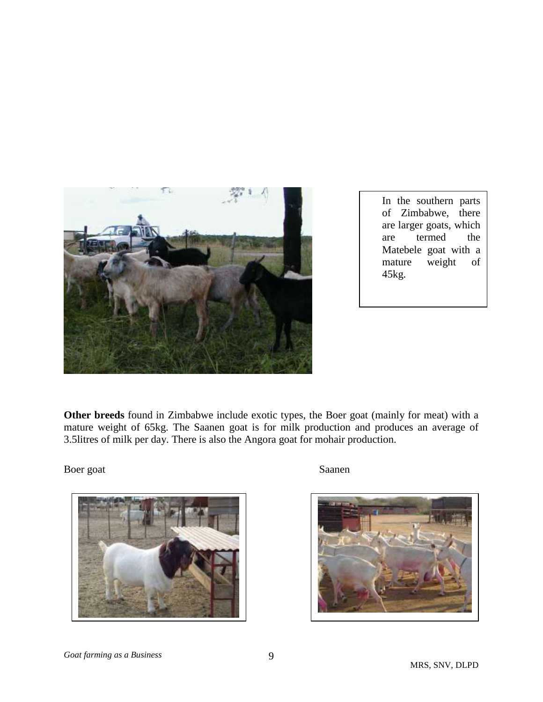

In the southern parts of Zimbabwe, there are larger goats, which are termed the Matebele goat with a mature weight of 45kg.

**Other breeds** found in Zimbabwe include exotic types, the Boer goat (mainly for meat) with a mature weight of 65kg. The Saanen goat is for milk production and produces an average of 3.5litres of milk per day. There is also the Angora goat for mohair production.

Boer goat Saanen



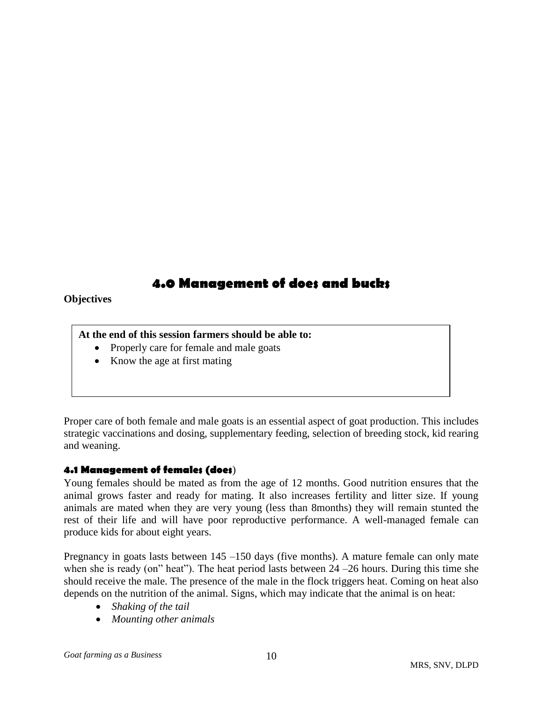# **4.0 Management of does and bucks**

## **Objectives**

**At the end of this session farmers should be able to:**

- Properly care for female and male goats
- Know the age at first mating

Proper care of both female and male goats is an essential aspect of goat production. This includes strategic vaccinations and dosing, supplementary feeding, selection of breeding stock, kid rearing and weaning.

# **4.1 Management of females (does**)

Young females should be mated as from the age of 12 months. Good nutrition ensures that the animal grows faster and ready for mating. It also increases fertility and litter size. If young animals are mated when they are very young (less than 8months) they will remain stunted the rest of their life and will have poor reproductive performance. A well-managed female can produce kids for about eight years.

Pregnancy in goats lasts between 145 –150 days (five months). A mature female can only mate when she is ready (on" heat"). The heat period lasts between  $24 - 26$  hours. During this time she should receive the male. The presence of the male in the flock triggers heat. Coming on heat also depends on the nutrition of the animal. Signs, which may indicate that the animal is on heat:

- *Shaking of the tail*
- *Mounting other animals*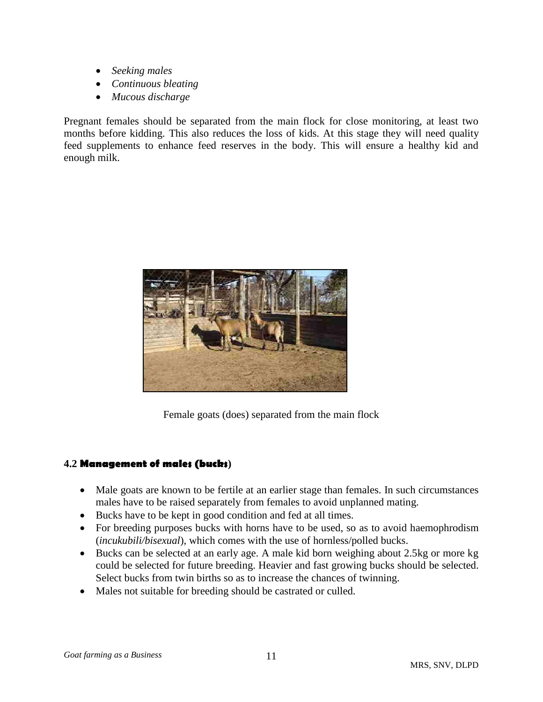- *Seeking males*
- *Continuous bleating*
- *Mucous discharge*

Pregnant females should be separated from the main flock for close monitoring, at least two months before kidding. This also reduces the loss of kids. At this stage they will need quality feed supplements to enhance feed reserves in the body. This will ensure a healthy kid and enough milk.



Female goats (does) separated from the main flock

# **4.2 Management of males (bucks)**

- Male goats are known to be fertile at an earlier stage than females. In such circumstances males have to be raised separately from females to avoid unplanned mating.
- Bucks have to be kept in good condition and fed at all times.
- For breeding purposes bucks with horns have to be used, so as to avoid haemophrodism (*incukubili/bisexual*), which comes with the use of hornless/polled bucks.
- Bucks can be selected at an early age. A male kid born weighing about 2.5kg or more kg could be selected for future breeding. Heavier and fast growing bucks should be selected. Select bucks from twin births so as to increase the chances of twinning.
- Males not suitable for breeding should be castrated or culled.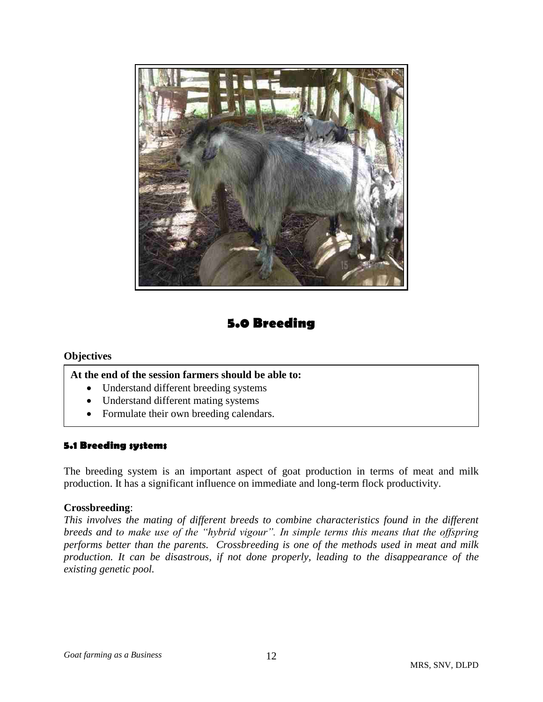

# **5.0 Breeding**

#### **Objectives**

j.

#### **At the end of the session farmers should be able to:**

- Understand different breeding systems
- Understand different mating systems
- Formulate their own breeding calendars.

# **5.1 Breeding systems**

The breeding system is an important aspect of goat production in terms of meat and milk production. It has a significant influence on immediate and long-term flock productivity.

#### **Crossbreeding**:

*This involves the mating of different breeds to combine characteristics found in the different breeds and to make use of the "hybrid vigour". In simple terms this means that the offspring performs better than the parents. Crossbreeding is one of the methods used in meat and milk production. It can be disastrous, if not done properly, leading to the disappearance of the existing genetic pool.*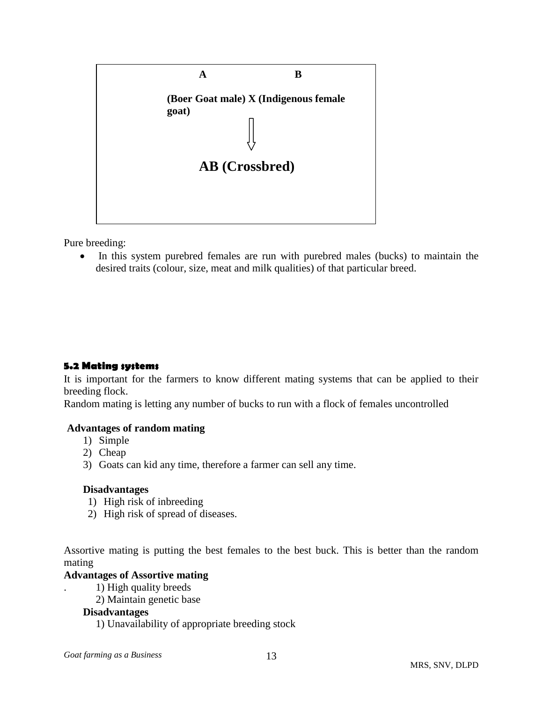

Pure breeding:

• In this system purebred females are run with purebred males (bucks) to maintain the desired traits (colour, size, meat and milk qualities) of that particular breed.

#### **5.2 Mating systems**

It is important for the farmers to know different mating systems that can be applied to their breeding flock.

Random mating is letting any number of bucks to run with a flock of females uncontrolled

#### **Advantages of random mating**

- 1) Simple
- 2) Cheap
- 3) Goats can kid any time, therefore a farmer can sell any time.

#### **Disadvantages**

- 1) High risk of inbreeding
- 2) High risk of spread of diseases.

Assortive mating is putting the best females to the best buck. This is better than the random mating

#### **Advantages of Assortive mating**

- . 1) High quality breeds
- 2) Maintain genetic base

#### **Disadvantages**

1) Unavailability of appropriate breeding stock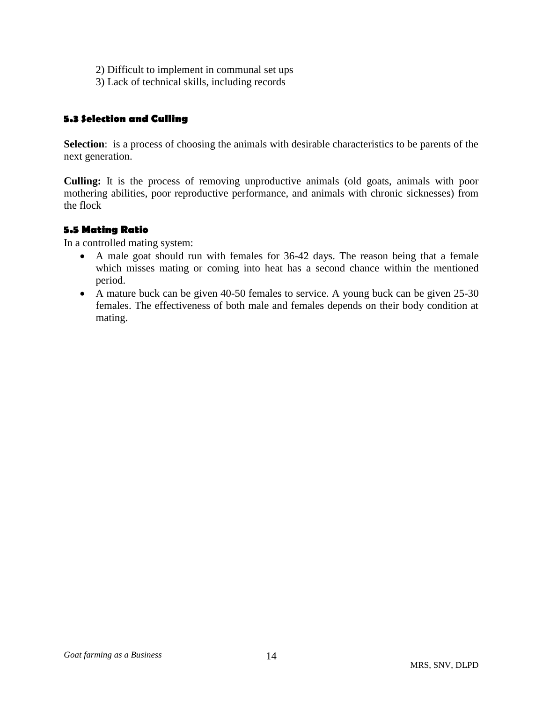- 2) Difficult to implement in communal set ups
- 3) Lack of technical skills, including records

# **5.3 Selection and Culling**

**Selection**: is a process of choosing the animals with desirable characteristics to be parents of the next generation.

**Culling:** It is the process of removing unproductive animals (old goats, animals with poor mothering abilities, poor reproductive performance, and animals with chronic sicknesses) from the flock

# **5.5 Mating Ratio**

In a controlled mating system:

- A male goat should run with females for 36-42 days. The reason being that a female which misses mating or coming into heat has a second chance within the mentioned period.
- A mature buck can be given 40-50 females to service. A young buck can be given 25-30 females. The effectiveness of both male and females depends on their body condition at mating.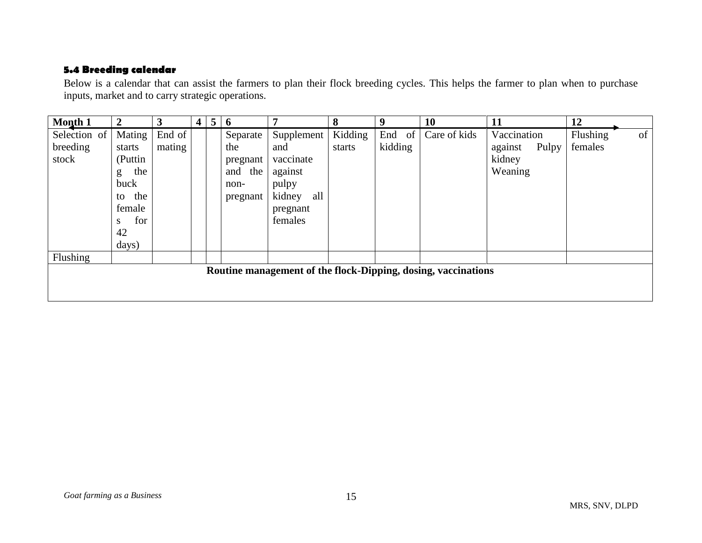# **5.4 Breeding calendar**

Below is a calendar that can assist the farmers to plan their flock breeding cycles. This helps the farmer to plan when to purchase inputs, market and to carry strategic operations.

| Month 1                           | $\overline{2}$                                                                            | 3                | $\overline{4}$ | $5\overline{)}$ | 6                                                             |                                                                                            | 8                 | 9                 | <b>10</b>    | 11                                                   | 12                  |    |
|-----------------------------------|-------------------------------------------------------------------------------------------|------------------|----------------|-----------------|---------------------------------------------------------------|--------------------------------------------------------------------------------------------|-------------------|-------------------|--------------|------------------------------------------------------|---------------------|----|
| Selection of<br>breeding<br>stock | Mating<br>starts<br>(Puttin<br>the<br>g<br>buck<br>the<br>to<br>female<br>for<br>S.<br>42 | End of<br>mating |                |                 | Separate<br>the<br>pregnant<br>the<br>and<br>non-<br>pregnant | Supplement<br>and<br>vaccinate<br>against<br>pulpy<br>kidney<br>all<br>pregnant<br>females | Kidding<br>starts | End of<br>kidding | Care of kids | Vaccination<br>against<br>Pulpy<br>kidney<br>Weaning | Flushing<br>females | of |
|                                   | days)                                                                                     |                  |                |                 |                                                               |                                                                                            |                   |                   |              |                                                      |                     |    |
| Flushing                          |                                                                                           |                  |                |                 |                                                               |                                                                                            |                   |                   |              |                                                      |                     |    |
|                                   | Routine management of the flock-Dipping, dosing, vaccinations                             |                  |                |                 |                                                               |                                                                                            |                   |                   |              |                                                      |                     |    |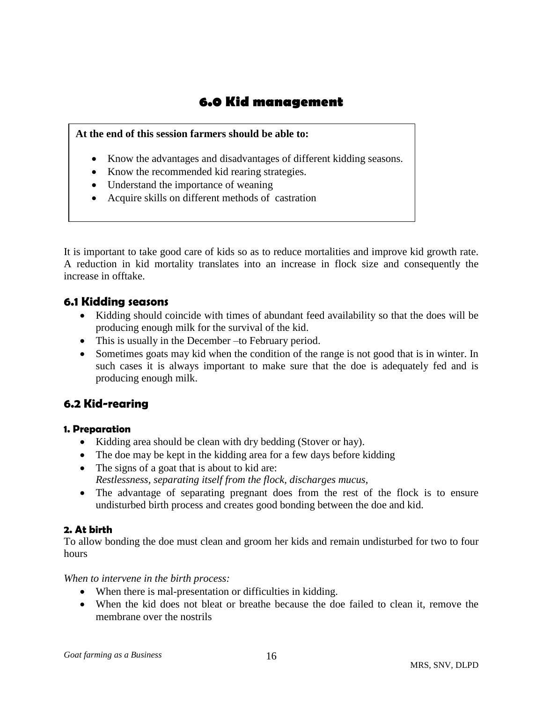# **6.0 Kid management**

## **At the end of this session farmers should be able to:**

- Know the advantages and disadvantages of different kidding seasons.
- Know the recommended kid rearing strategies.
- Understand the importance of weaning
- Acquire skills on different methods of castration

It is important to take good care of kids so as to reduce mortalities and improve kid growth rate. A reduction in kid mortality translates into an increase in flock size and consequently the increase in offtake.

# **6.1 Kidding seasons**

- Kidding should coincide with times of abundant feed availability so that the does will be producing enough milk for the survival of the kid.
- This is usually in the December –to February period.
- Sometimes goats may kid when the condition of the range is not good that is in winter. In such cases it is always important to make sure that the doe is adequately fed and is producing enough milk.

# **6.2 Kid-rearing**

#### **1. Preparation**

- Kidding area should be clean with dry bedding (Stover or hay).
- The doe may be kept in the kidding area for a few days before kidding
- The signs of a goat that is about to kid are: *Restlessness, separating itself from the flock, discharges mucus*,
- The advantage of separating pregnant does from the rest of the flock is to ensure undisturbed birth process and creates good bonding between the doe and kid.

# **2. At birth**

To allow bonding the doe must clean and groom her kids and remain undisturbed for two to four hours

*When to intervene in the birth process:*

- When there is mal-presentation or difficulties in kidding.
- When the kid does not bleat or breathe because the doe failed to clean it, remove the membrane over the nostrils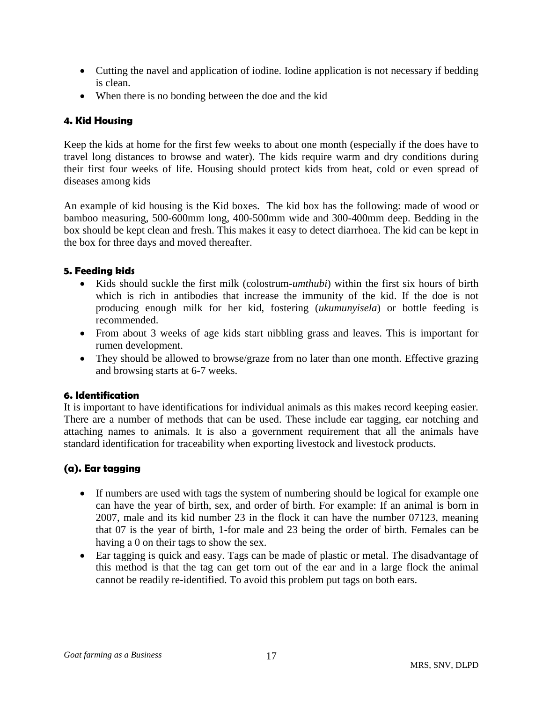- Cutting the navel and application of iodine. Iodine application is not necessary if bedding is clean.
- When there is no bonding between the doe and the kid

# **4. Kid Housing**

Keep the kids at home for the first few weeks to about one month (especially if the does have to travel long distances to browse and water). The kids require warm and dry conditions during their first four weeks of life. Housing should protect kids from heat, cold or even spread of diseases among kids

An example of kid housing is the Kid boxes. The kid box has the following: made of wood or bamboo measuring, 500-600mm long, 400-500mm wide and 300-400mm deep. Bedding in the box should be kept clean and fresh. This makes it easy to detect diarrhoea. The kid can be kept in the box for three days and moved thereafter.

## **5. Feeding kids**

- Kids should suckle the first milk (colostrum-*umthubi*) within the first six hours of birth which is rich in antibodies that increase the immunity of the kid. If the doe is not producing enough milk for her kid, fostering (*ukumunyisela*) or bottle feeding is recommended.
- From about 3 weeks of age kids start nibbling grass and leaves. This is important for rumen development.
- They should be allowed to browse/graze from no later than one month. Effective grazing and browsing starts at 6-7 weeks.

# **6. Identification**

It is important to have identifications for individual animals as this makes record keeping easier. There are a number of methods that can be used. These include ear tagging, ear notching and attaching names to animals. It is also a government requirement that all the animals have standard identification for traceability when exporting livestock and livestock products.

# **(a). Ear tagging**

- If numbers are used with tags the system of numbering should be logical for example one can have the year of birth, sex, and order of birth. For example: If an animal is born in 2007, male and its kid number 23 in the flock it can have the number 07123, meaning that 07 is the year of birth, 1-for male and 23 being the order of birth. Females can be having a 0 on their tags to show the sex.
- Ear tagging is quick and easy. Tags can be made of plastic or metal. The disadvantage of this method is that the tag can get torn out of the ear and in a large flock the animal cannot be readily re-identified. To avoid this problem put tags on both ears.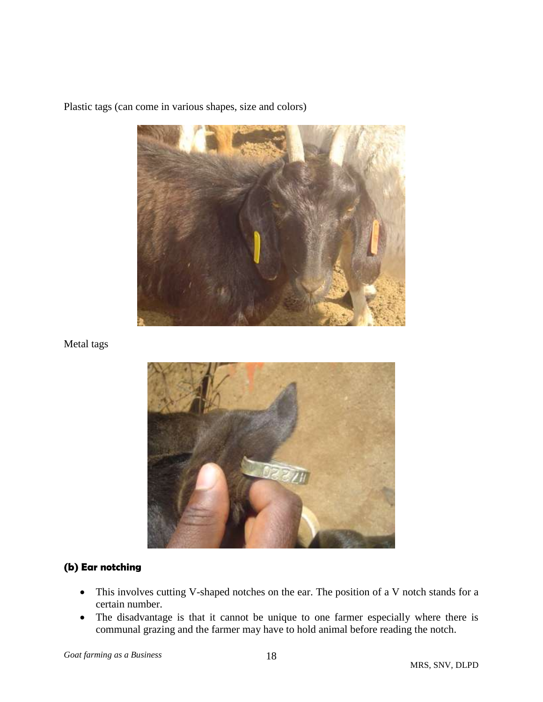

Plastic tags (can come in various shapes, size and colors)

Metal tags



# **(b) Ear notching**

- This involves cutting V-shaped notches on the ear. The position of a V notch stands for a certain number.
- The disadvantage is that it cannot be unique to one farmer especially where there is communal grazing and the farmer may have to hold animal before reading the notch.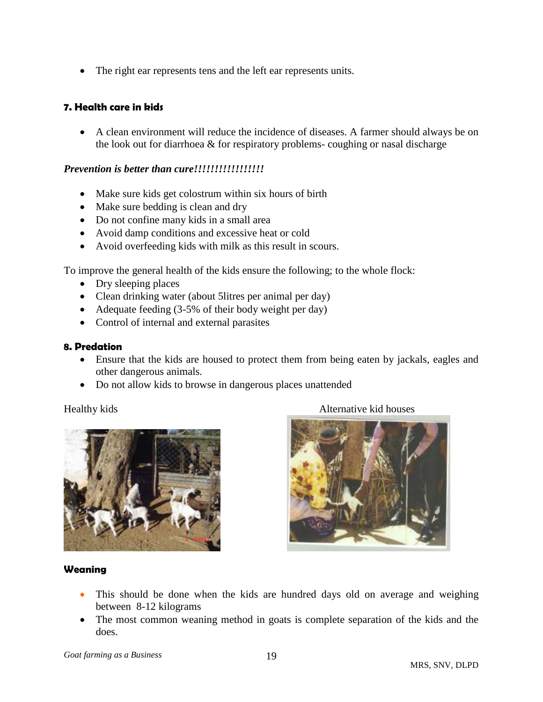The right ear represents tens and the left ear represents units.

## **7. Health care in kids**

 A clean environment will reduce the incidence of diseases. A farmer should always be on the look out for diarrhoea & for respiratory problems- coughing or nasal discharge

#### *Prevention is better than cure!!!!!!!!!!!!!!!!!*

- Make sure kids get colostrum within six hours of birth
- Make sure bedding is clean and dry
- Do not confine many kids in a small area
- Avoid damp conditions and excessive heat or cold
- Avoid overfeeding kids with milk as this result in scours.

To improve the general health of the kids ensure the following; to the whole flock:

- Dry sleeping places
- Clean drinking water (about 5 litres per animal per day)
- Adequate feeding (3-5% of their body weight per day)
- Control of internal and external parasites

#### **8. Predation**

- Ensure that the kids are housed to protect them from being eaten by jackals, eagles and other dangerous animals.
- Do not allow kids to browse in dangerous places unattended



Healthy kids **Alternative kid houses** 



#### **Weaning**

- This should be done when the kids are hundred days old on average and weighing between 8-12 kilograms
- The most common weaning method in goats is complete separation of the kids and the does.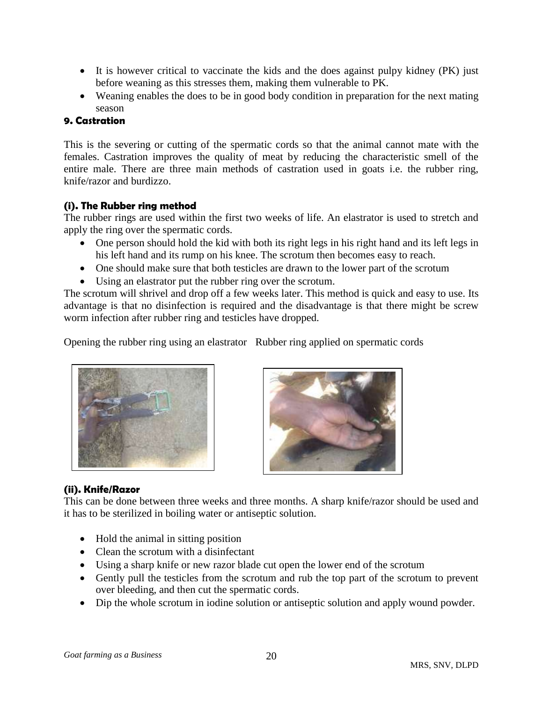- It is however critical to vaccinate the kids and the does against pulpy kidney (PK) just before weaning as this stresses them, making them vulnerable to PK.
- Weaning enables the does to be in good body condition in preparation for the next mating season

# **9. Castration**

This is the severing or cutting of the spermatic cords so that the animal cannot mate with the females. Castration improves the quality of meat by reducing the characteristic smell of the entire male. There are three main methods of castration used in goats i.e. the rubber ring, knife/razor and burdizzo.

# **(i). The Rubber ring method**

The rubber rings are used within the first two weeks of life. An elastrator is used to stretch and apply the ring over the spermatic cords.

- One person should hold the kid with both its right legs in his right hand and its left legs in his left hand and its rump on his knee. The scrotum then becomes easy to reach.
- One should make sure that both testicles are drawn to the lower part of the scrotum
- Using an elastrator put the rubber ring over the scrotum.

The scrotum will shrivel and drop off a few weeks later. This method is quick and easy to use. Its advantage is that no disinfection is required and the disadvantage is that there might be screw worm infection after rubber ring and testicles have dropped.

Opening the rubber ring using an elastrator Rubber ring applied on spermatic cords





# **(ii). Knife/Razor**

This can be done between three weeks and three months. A sharp knife/razor should be used and it has to be sterilized in boiling water or antiseptic solution.

- Hold the animal in sitting position
- Clean the scrotum with a disinfectant
- Using a sharp knife or new razor blade cut open the lower end of the scrotum
- Gently pull the testicles from the scrotum and rub the top part of the scrotum to prevent over bleeding, and then cut the spermatic cords.
- Dip the whole scrotum in iodine solution or antiseptic solution and apply wound powder.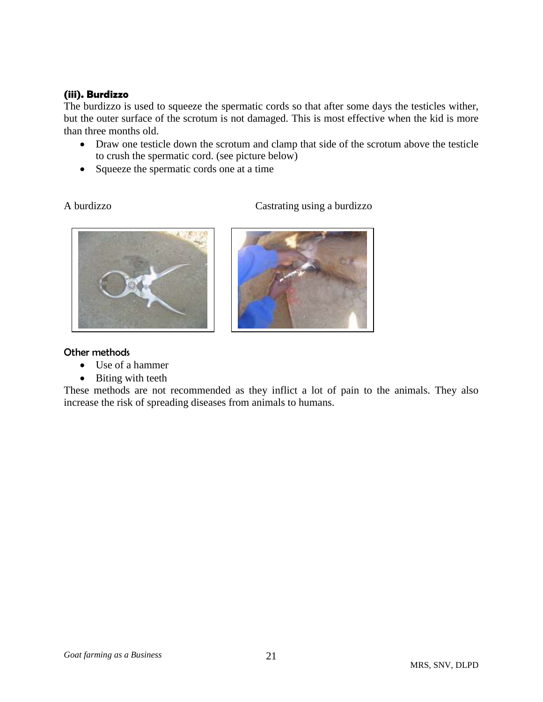#### **(iii). Burdizzo**

The burdizzo is used to squeeze the spermatic cords so that after some days the testicles wither, but the outer surface of the scrotum is not damaged. This is most effective when the kid is more than three months old.

- Draw one testicle down the scrotum and clamp that side of the scrotum above the testicle to crush the spermatic cord. (see picture below)
- Squeeze the spermatic cords one at a time

A burdizzo Castrating using a burdizzo





## Other methods

- Use of a hammer
- Biting with teeth

These methods are not recommended as they inflict a lot of pain to the animals. They also increase the risk of spreading diseases from animals to humans.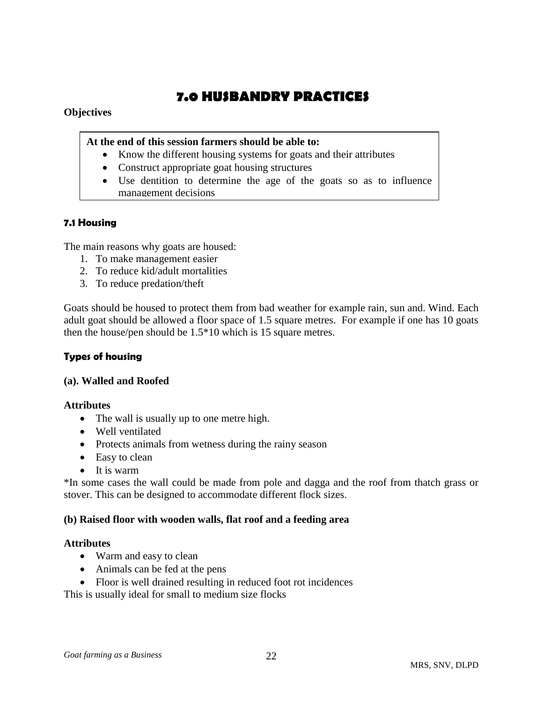# **7.0 HUSBANDRY PRACTICES**

## **Objectives**

## **At the end of this session farmers should be able to:**

- Know the different housing systems for goats and their attributes
- Construct appropriate goat housing structures
- Use dentition to determine the age of the goats so as to influence management decisions

# **7.1 Housing**

The main reasons why goats are housed:

- 1. To make management easier
- 2. To reduce kid/adult mortalities
- 3. To reduce predation/theft

Goats should be housed to protect them from bad weather for example rain, sun and. Wind. Each adult goat should be allowed a floor space of 1.5 square metres. For example if one has 10 goats then the house/pen should be 1.5\*10 which is 15 square metres.

# **Types of housing**

## **(a). Walled and Roofed**

#### **Attributes**

- The wall is usually up to one metre high.
- Well ventilated
- Protects animals from wetness during the rainy season
- Easy to clean
- $\bullet$  It is warm

\*In some cases the wall could be made from pole and dagga and the roof from thatch grass or stover. This can be designed to accommodate different flock sizes.

#### **(b) Raised floor with wooden walls, flat roof and a feeding area**

#### **Attributes**

- Warm and easy to clean
- Animals can be fed at the pens
- Floor is well drained resulting in reduced foot rot incidences

This is usually ideal for small to medium size flocks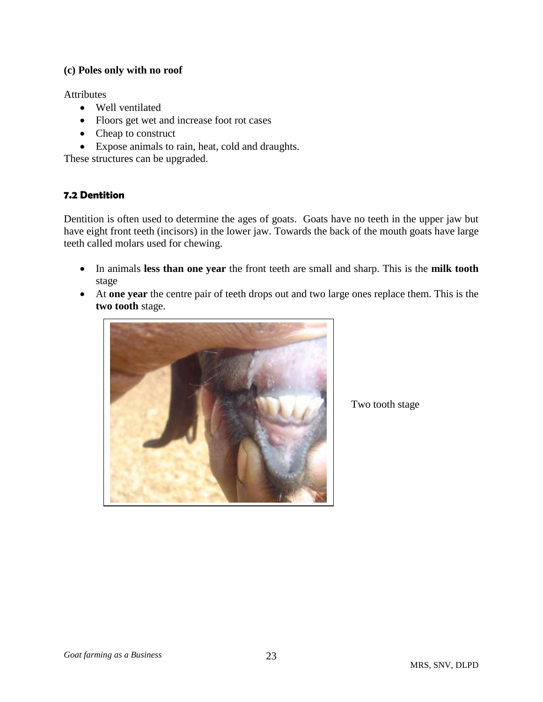### **(c) Poles only with no roof**

**Attributes** 

- Well ventilated
- Floors get wet and increase foot rot cases
- Cheap to construct
- Expose animals to rain, heat, cold and draughts.

These structures can be upgraded.

## **7.2 Dentition**

Dentition is often used to determine the ages of goats. Goats have no teeth in the upper jaw but have eight front teeth (incisors) in the lower jaw. Towards the back of the mouth goats have large teeth called molars used for chewing.

- In animals **less than one year** the front teeth are small and sharp. This is the **milk tooth** stage
- At **one year** the centre pair of teeth drops out and two large ones replace them. This is the **two tooth** stage.



Two tooth stage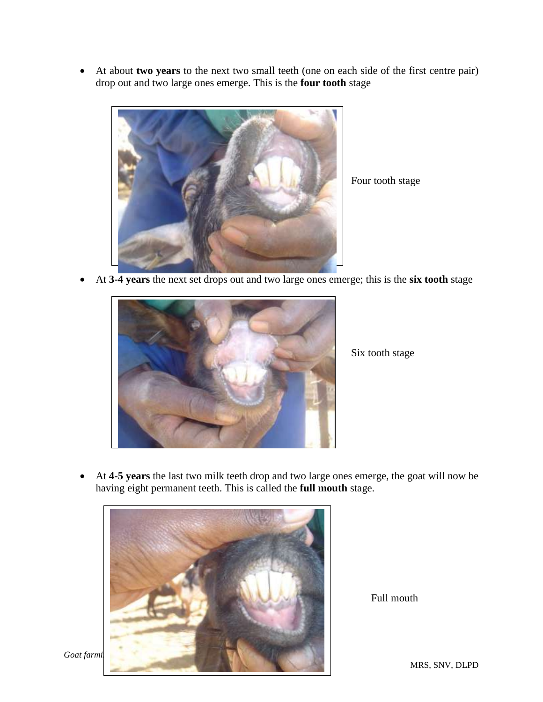At about **two years** to the next two small teeth (one on each side of the first centre pair) drop out and two large ones emerge. This is the **four tooth** stage



Four tooth stage

At **3-4 years** the next set drops out and two large ones emerge; this is the **six tooth** stage



Six tooth stage

 At **4-5 years** the last two milk teeth drop and two large ones emerge, the goat will now be having eight permanent teeth. This is called the **full mouth** stage.



Full mouth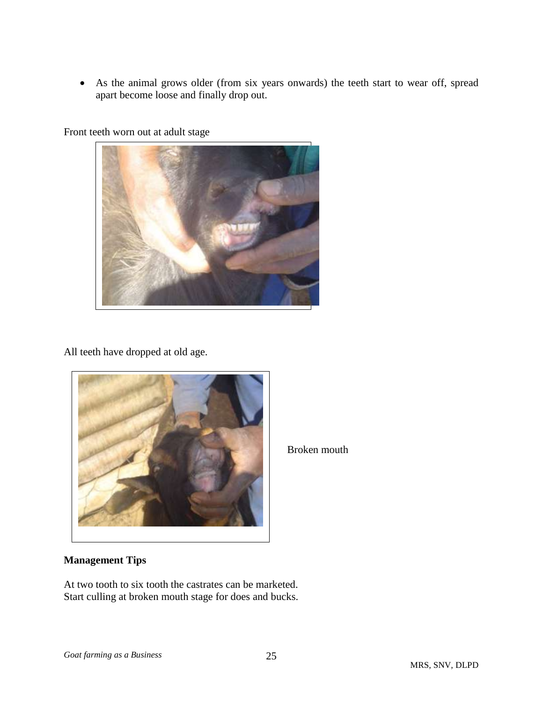As the animal grows older (from six years onwards) the teeth start to wear off, spread apart become loose and finally drop out.

Front teeth worn out at adult stage



All teeth have dropped at old age.



# **Management Tips**

At two tooth to six tooth the castrates can be marketed. Start culling at broken mouth stage for does and bucks.

Broken mouth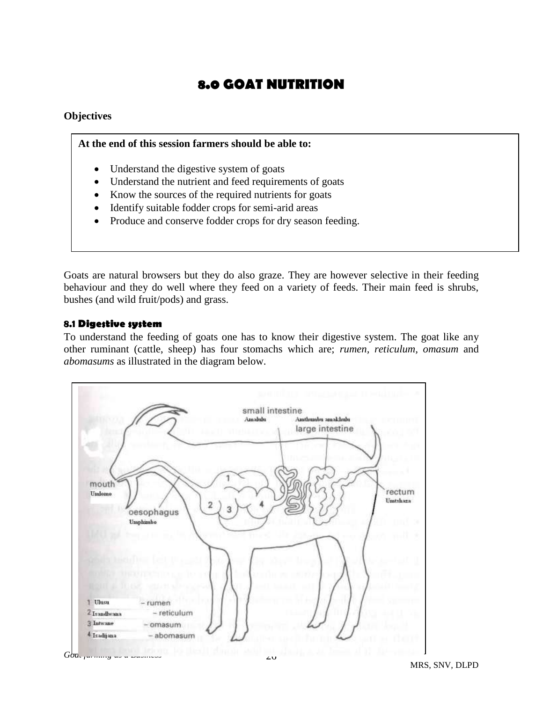# **8.0 GOAT NUTRITION**

#### **Objectives**

#### **At the end of this session farmers should be able to:**

- Understand the digestive system of goats
- Understand the nutrient and feed requirements of goats
- Know the sources of the required nutrients for goats
- Identify suitable fodder crops for semi-arid areas
- Produce and conserve fodder crops for dry season feeding.

Goats are natural browsers but they do also graze. They are however selective in their feeding behaviour and they do well where they feed on a variety of feeds. Their main feed is shrubs, bushes (and wild fruit/pods) and grass.

#### **8.1 Digestive system**

To understand the feeding of goats one has to know their digestive system. The goat like any other ruminant (cattle, sheep) has four stomachs which are; *rumen, reticulum, omasum* and *abomasums* as illustrated in the diagram below.

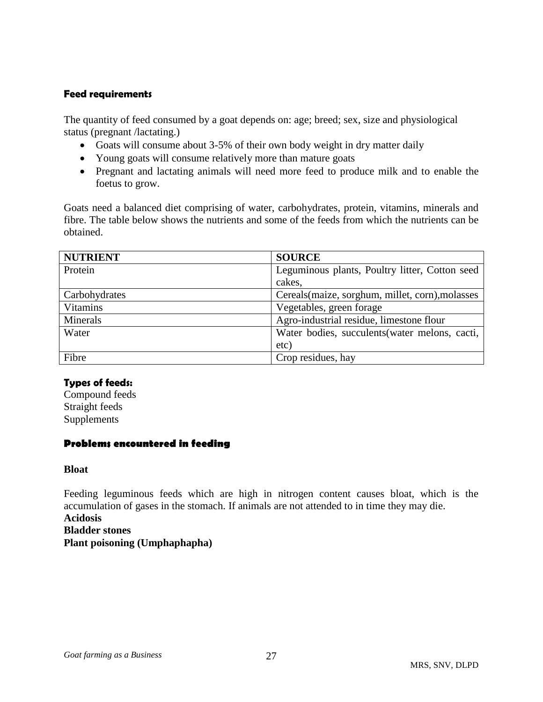## **Feed requirements**

The quantity of feed consumed by a goat depends on: age; breed; sex, size and physiological status (pregnant /lactating.)

- Goats will consume about 3-5% of their own body weight in dry matter daily
- Young goats will consume relatively more than mature goats
- Pregnant and lactating animals will need more feed to produce milk and to enable the foetus to grow.

Goats need a balanced diet comprising of water, carbohydrates, protein, vitamins, minerals and fibre. The table below shows the nutrients and some of the feeds from which the nutrients can be obtained.

| <b>NUTRIENT</b> | <b>SOURCE</b>                                    |
|-----------------|--------------------------------------------------|
| Protein         | Leguminous plants, Poultry litter, Cotton seed   |
|                 | cakes,                                           |
| Carbohydrates   | Cereals (maize, sorghum, millet, corn), molasses |
| <b>Vitamins</b> | Vegetables, green forage                         |
| Minerals        | Agro-industrial residue, limestone flour         |
| Water           | Water bodies, succulents (water melons, cacti,   |
|                 | etc)                                             |
| Fibre           | Crop residues, hay                               |

# **Types of feeds:**

Compound feeds Straight feeds Supplements

#### **Problems encountered in feeding**

**Bloat**

Feeding leguminous feeds which are high in nitrogen content causes bloat, which is the accumulation of gases in the stomach. If animals are not attended to in time they may die.

**Acidosis**

**Bladder stones**

**Plant poisoning (Umphaphapha)**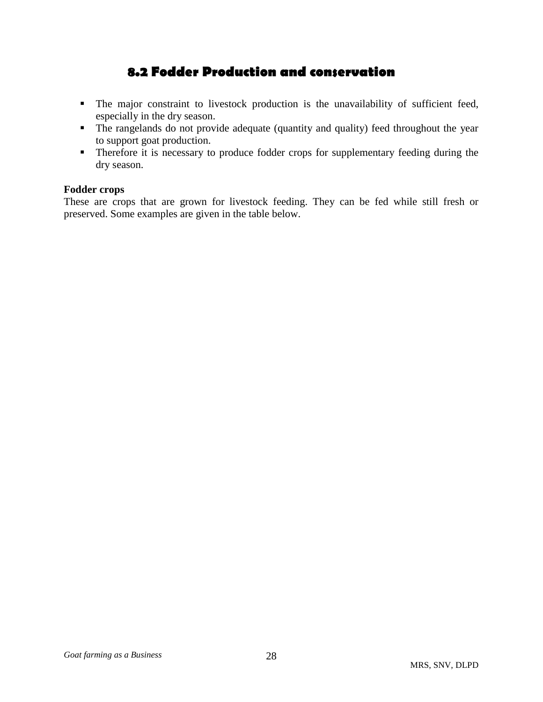# **8.2 Fodder Production and conservation**

- The major constraint to livestock production is the unavailability of sufficient feed, especially in the dry season.
- The rangelands do not provide adequate (quantity and quality) feed throughout the year to support goat production.
- **Therefore it is necessary to produce fodder crops for supplementary feeding during the** dry season.

## **Fodder crops**

These are crops that are grown for livestock feeding. They can be fed while still fresh or preserved. Some examples are given in the table below.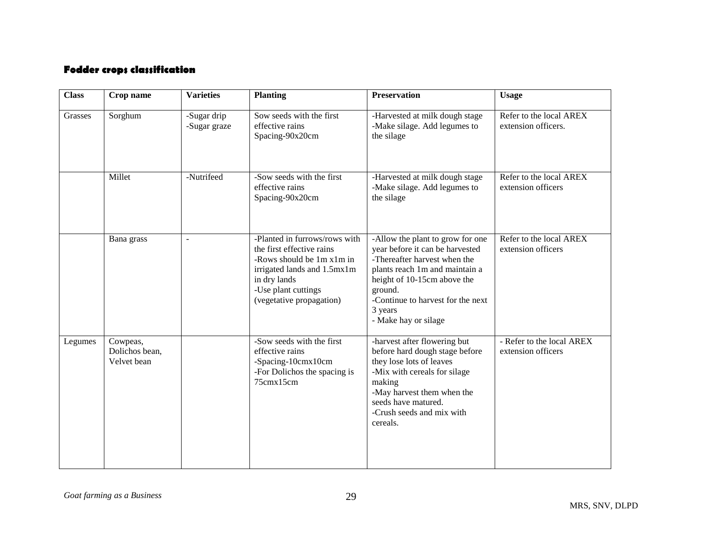# **Fodder crops classification**

| <b>Class</b> | Crop name                                 | <b>Varieties</b>            | <b>Planting</b>                                                                                                                                                                           | <b>Preservation</b>                                                                                                                                                                                                                                     | <b>Usage</b>                                    |
|--------------|-------------------------------------------|-----------------------------|-------------------------------------------------------------------------------------------------------------------------------------------------------------------------------------------|---------------------------------------------------------------------------------------------------------------------------------------------------------------------------------------------------------------------------------------------------------|-------------------------------------------------|
| Grasses      | Sorghum                                   | -Sugar drip<br>-Sugar graze | Sow seeds with the first<br>effective rains<br>Spacing-90x20cm                                                                                                                            | -Harvested at milk dough stage<br>-Make silage. Add legumes to<br>the silage                                                                                                                                                                            | Refer to the local AREX<br>extension officers.  |
|              | Millet                                    | -Nutrifeed                  | -Sow seeds with the first<br>effective rains<br>Spacing-90x20cm                                                                                                                           | -Harvested at milk dough stage<br>-Make silage. Add legumes to<br>the silage                                                                                                                                                                            | Refer to the local AREX<br>extension officers   |
|              | Bana grass                                | $\overline{a}$              | -Planted in furrows/rows with<br>the first effective rains<br>-Rows should be 1m x1m in<br>irrigated lands and 1.5mx1m<br>in dry lands<br>-Use plant cuttings<br>(vegetative propagation) | -Allow the plant to grow for one<br>year before it can be harvested<br>-Thereafter harvest when the<br>plants reach 1m and maintain a<br>height of 10-15cm above the<br>ground.<br>-Continue to harvest for the next<br>3 years<br>- Make hay or silage | Refer to the local AREX<br>extension officers   |
| Legumes      | Cowpeas,<br>Dolichos bean,<br>Velvet bean |                             | -Sow seeds with the first<br>effective rains<br>-Spacing-10cmx10cm<br>-For Dolichos the spacing is<br>75cmx15cm                                                                           | -harvest after flowering but<br>before hard dough stage before<br>they lose lots of leaves<br>-Mix with cereals for silage<br>making<br>-May harvest them when the<br>seeds have matured.<br>-Crush seeds and mix with<br>cereals.                      | - Refer to the local AREX<br>extension officers |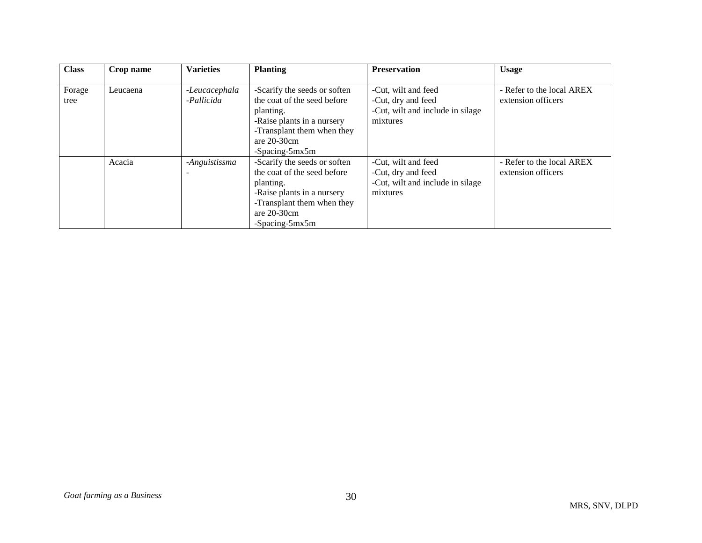| <b>Class</b>   | Crop name | <b>Varieties</b>            | <b>Planting</b>                                                                                                                                                          | <b>Preservation</b>                                                                       | <b>Usage</b>                                    |
|----------------|-----------|-----------------------------|--------------------------------------------------------------------------------------------------------------------------------------------------------------------------|-------------------------------------------------------------------------------------------|-------------------------------------------------|
| Forage<br>tree | Leucaena  | -Leucacephala<br>-Pallicida | -Scarify the seeds or soften<br>the coat of the seed before<br>planting.<br>-Raise plants in a nursery<br>-Transplant them when they<br>are $20-30$ cm<br>-Spacing-5mx5m | -Cut, wilt and feed<br>-Cut, dry and feed<br>-Cut, wilt and include in silage<br>mixtures | - Refer to the local AREX<br>extension officers |
|                | Acacia    | -Anguistissma               | -Scarify the seeds or soften<br>the coat of the seed before<br>planting.<br>-Raise plants in a nursery<br>-Transplant them when they<br>are $20-30$ cm<br>-Spacing-5mx5m | -Cut, wilt and feed<br>-Cut, dry and feed<br>-Cut, wilt and include in silage<br>mixtures | - Refer to the local AREX<br>extension officers |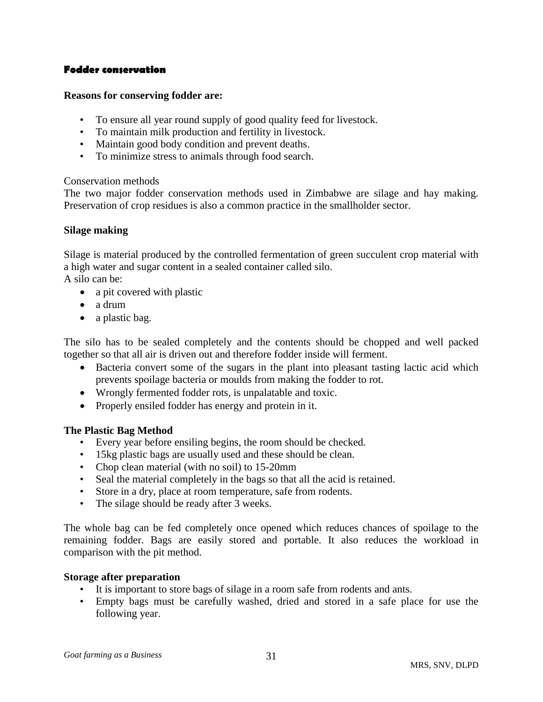### **Fodder conservation**

#### **Reasons for conserving fodder are:**

- To ensure all year round supply of good quality feed for livestock.
- To maintain milk production and fertility in livestock.
- Maintain good body condition and prevent deaths.
- To minimize stress to animals through food search.

#### Conservation methods

The two major fodder conservation methods used in Zimbabwe are silage and hay making. Preservation of crop residues is also a common practice in the smallholder sector.

#### **Silage making**

Silage is material produced by the controlled fermentation of green succulent crop material with a high water and sugar content in a sealed container called silo.

A silo can be:

- a pit covered with plastic
- a drum
- a plastic bag.

The silo has to be sealed completely and the contents should be chopped and well packed together so that all air is driven out and therefore fodder inside will ferment.

- Bacteria convert some of the sugars in the plant into pleasant tasting lactic acid which prevents spoilage bacteria or moulds from making the fodder to rot.
- Wrongly fermented fodder rots, is unpalatable and toxic.
- Properly ensiled fodder has energy and protein in it.

#### **The Plastic Bag Method**

- Every year before ensiling begins, the room should be checked.
- 15kg plastic bags are usually used and these should be clean.
- Chop clean material (with no soil) to 15-20mm
- Seal the material completely in the bags so that all the acid is retained.
- Store in a dry, place at room temperature, safe from rodents.
- The silage should be ready after 3 weeks.

The whole bag can be fed completely once opened which reduces chances of spoilage to the remaining fodder. Bags are easily stored and portable. It also reduces the workload in comparison with the pit method.

#### **Storage after preparation**

- It is important to store bags of silage in a room safe from rodents and ants.
- Empty bags must be carefully washed, dried and stored in a safe place for use the following year.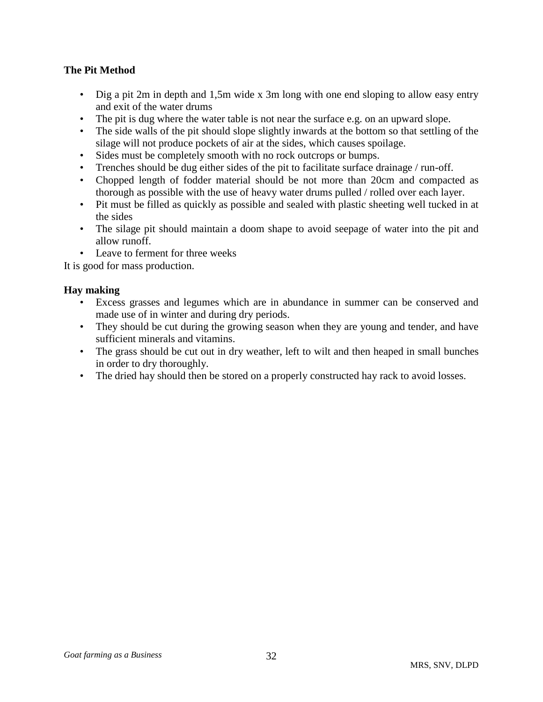# **The Pit Method**

- Dig a pit 2m in depth and 1,5m wide x 3m long with one end sloping to allow easy entry and exit of the water drums
- The pit is dug where the water table is not near the surface e.g. on an upward slope.
- The side walls of the pit should slope slightly inwards at the bottom so that settling of the silage will not produce pockets of air at the sides, which causes spoilage.
- Sides must be completely smooth with no rock outcrops or bumps.
- Trenches should be dug either sides of the pit to facilitate surface drainage / run-off.
- Chopped length of fodder material should be not more than 20cm and compacted as thorough as possible with the use of heavy water drums pulled / rolled over each layer.
- Pit must be filled as quickly as possible and sealed with plastic sheeting well tucked in at the sides
- The silage pit should maintain a doom shape to avoid seepage of water into the pit and allow runoff.
- Leave to ferment for three weeks

It is good for mass production.

# **Hay making**

- Excess grasses and legumes which are in abundance in summer can be conserved and made use of in winter and during dry periods.
- They should be cut during the growing season when they are young and tender, and have sufficient minerals and vitamins.
- The grass should be cut out in dry weather, left to wilt and then heaped in small bunches in order to dry thoroughly.
- The dried hay should then be stored on a properly constructed hay rack to avoid losses.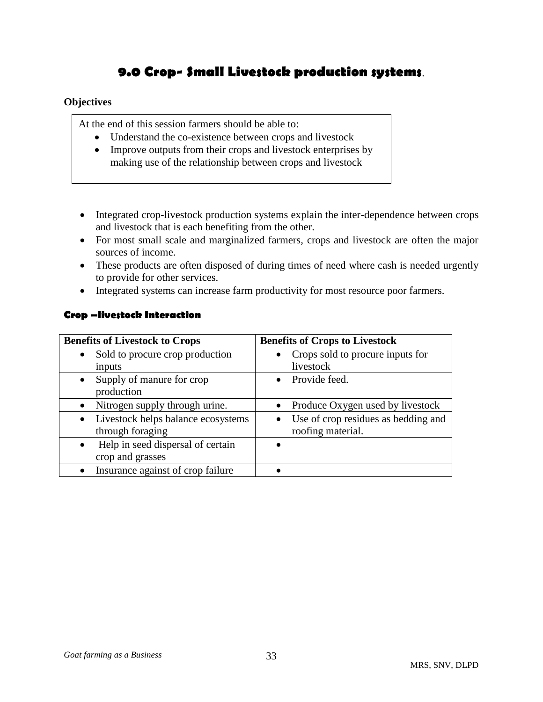# **9.0 Crop- Small Livestock production systems**.

## **Objectives**

At the end of this session farmers should be able to:

- Understand the co-existence between crops and livestock
- Improve outputs from their crops and livestock enterprises by making use of the relationship between crops and livestock
- Integrated crop-livestock production systems explain the inter-dependence between crops and livestock that is each benefiting from the other.
- For most small scale and marginalized farmers, crops and livestock are often the major sources of income.
- These products are often disposed of during times of need where cash is needed urgently to provide for other services.
- Integrated systems can increase farm productivity for most resource poor farmers.

| <b>Benefits of Livestock to Crops</b>          | <b>Benefits of Crops to Livestock</b> |
|------------------------------------------------|---------------------------------------|
| Sold to procure crop production<br>$\bullet$   | Crops sold to procure inputs for      |
| inputs                                         | livestock                             |
| • Supply of manure for crop                    | • Provide feed.                       |
| production                                     |                                       |
| Nitrogen supply through urine.<br>$\bullet$    | Produce Oxygen used by livestock      |
| • Livestock helps balance ecosystems           | Use of crop residues as bedding and   |
| through foraging                               | roofing material.                     |
| Help in seed dispersal of certain<br>$\bullet$ |                                       |
| crop and grasses                               |                                       |
| Insurance against of crop failure              |                                       |

#### **Crop –livestock Interaction**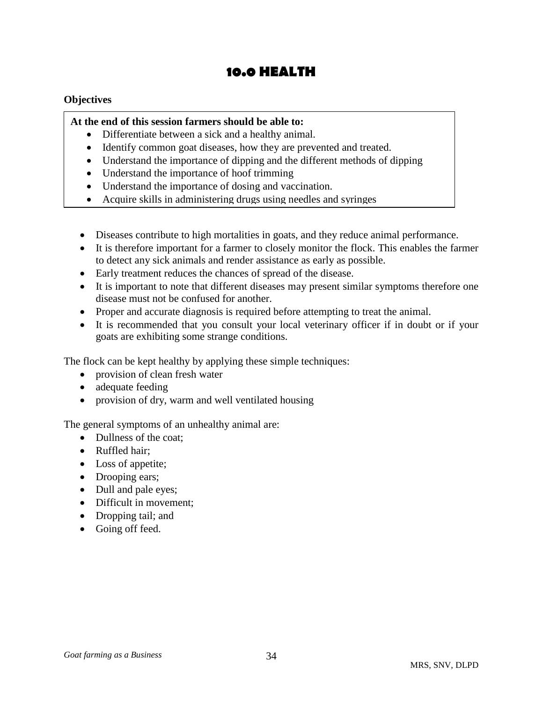# **10.0 HEALTH**

#### **Objectives**

#### **At the end of this session farmers should be able to:**

- Differentiate between a sick and a healthy animal.
- Identify common goat diseases, how they are prevented and treated.
- Understand the importance of dipping and the different methods of dipping
- Understand the importance of hoof trimming
- Understand the importance of dosing and vaccination.
- Acquire skills in administering drugs using needles and syringes
- Diseases contribute to high mortalities in goats, and they reduce animal performance.
- It is therefore important for a farmer to closely monitor the flock. This enables the farmer to detect any sick animals and render assistance as early as possible.
- Early treatment reduces the chances of spread of the disease.
- It is important to note that different diseases may present similar symptoms therefore one disease must not be confused for another.
- Proper and accurate diagnosis is required before attempting to treat the animal.
- It is recommended that you consult your local veterinary officer if in doubt or if your goats are exhibiting some strange conditions.

The flock can be kept healthy by applying these simple techniques:

- provision of clean fresh water
- adequate feeding
- provision of dry, warm and well ventilated housing

The general symptoms of an unhealthy animal are:

- Dullness of the coat;
- Ruffled hair:
- Loss of appetite;
- Drooping ears;
- Dull and pale eyes;
- Difficult in movement;
- Dropping tail; and
- Going off feed.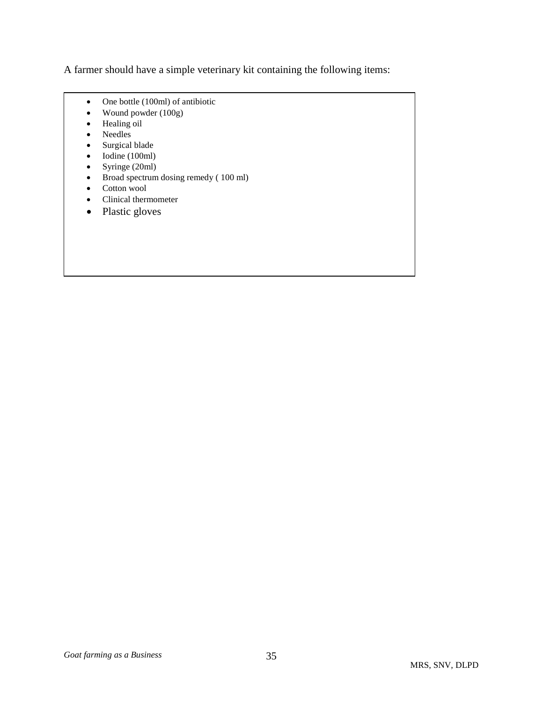A farmer should have a simple veterinary kit containing the following items:

- One bottle (100ml) of antibiotic
- Wound powder (100g)
- Healing oil
- Needles
- Surgical blade
- Iodine (100ml)
- Syringe (20ml)
- Broad spectrum dosing remedy (100 ml)
- Cotton wool
- Clinical thermometer
- Plastic gloves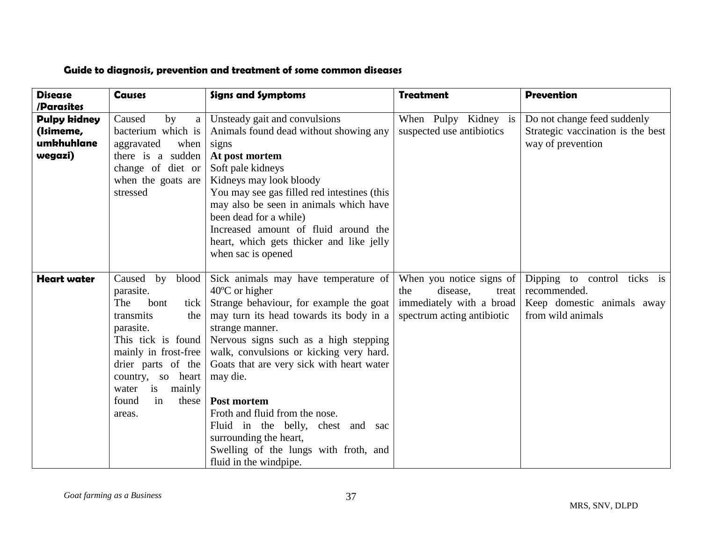# **Guide to diagnosis, prevention and treatment of some common diseases**

| <b>Disease</b>      | <b>Causes</b>        | <b>Signs and Symptoms</b>                   | <b>Treatment</b>           | <b>Prevention</b>                 |
|---------------------|----------------------|---------------------------------------------|----------------------------|-----------------------------------|
| /Parasites          |                      |                                             |                            |                                   |
| <b>Pulpy kidney</b> | Caused<br>by<br>a    | Unsteady gait and convulsions               | When Pulpy Kidney is       | Do not change feed suddenly       |
| (Isimeme,           | bacterium which is   | Animals found dead without showing any      | suspected use antibiotics  | Strategic vaccination is the best |
| umkhuhlane          | when<br>aggravated   | signs                                       |                            | way of prevention                 |
| wegazi)             | there is a sudden    | At post mortem                              |                            |                                   |
|                     | change of diet or    | Soft pale kidneys                           |                            |                                   |
|                     | when the goats are   | Kidneys may look bloody                     |                            |                                   |
|                     | stressed             | You may see gas filled red intestines (this |                            |                                   |
|                     |                      | may also be seen in animals which have      |                            |                                   |
|                     |                      | been dead for a while)                      |                            |                                   |
|                     |                      | Increased amount of fluid around the        |                            |                                   |
|                     |                      | heart, which gets thicker and like jelly    |                            |                                   |
|                     |                      | when sac is opened                          |                            |                                   |
|                     |                      |                                             |                            |                                   |
| <b>Heart water</b>  | Caused by blood      | Sick animals may have temperature of        | When you notice signs of   | Dipping to control ticks is       |
|                     | parasite.            | $40^{\circ}$ C or higher                    | disease,<br>the<br>treat   | recommended.                      |
|                     | The<br>bont<br>tick  | Strange behaviour, for example the goat     | immediately with a broad   | Keep domestic animals away        |
|                     | transmits<br>the     | may turn its head towards its body in a     | spectrum acting antibiotic | from wild animals                 |
|                     | parasite.            | strange manner.                             |                            |                                   |
|                     | This tick is found   | Nervous signs such as a high stepping       |                            |                                   |
|                     | mainly in frost-free | walk, convulsions or kicking very hard.     |                            |                                   |
|                     | drier parts of the   | Goats that are very sick with heart water   |                            |                                   |
|                     | country, so heart    | may die.                                    |                            |                                   |
|                     | water is<br>mainly   |                                             |                            |                                   |
|                     | found<br>in<br>these | Post mortem                                 |                            |                                   |
|                     | areas.               | Froth and fluid from the nose.              |                            |                                   |
|                     |                      | Fluid in the belly, chest and sac           |                            |                                   |
|                     |                      | surrounding the heart,                      |                            |                                   |
|                     |                      |                                             |                            |                                   |
|                     |                      | Swelling of the lungs with froth, and       |                            |                                   |
|                     |                      | fluid in the windpipe.                      |                            |                                   |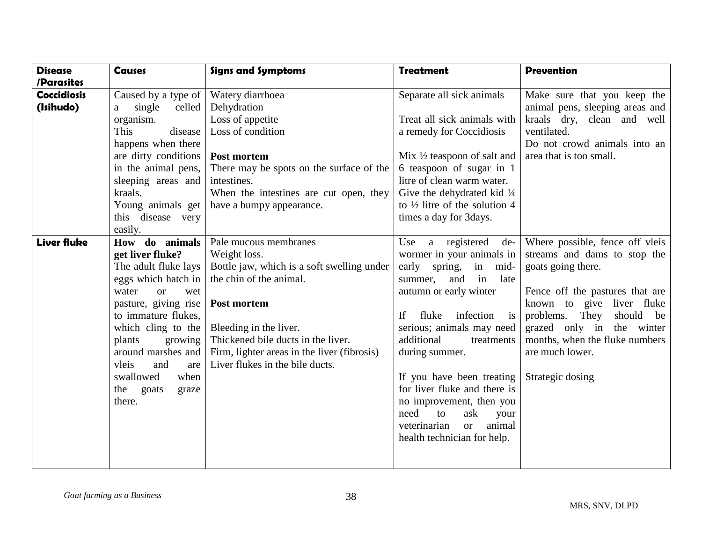| <b>Disease</b>     | <b>Causes</b>                 | <b>Signs and Symptoms</b>                   | <b>Treatment</b>                           | <b>Prevention</b>               |
|--------------------|-------------------------------|---------------------------------------------|--------------------------------------------|---------------------------------|
| /Parasites         |                               |                                             |                                            |                                 |
| <b>Coccidiosis</b> | Caused by a type of           | Watery diarrhoea                            | Separate all sick animals                  | Make sure that you keep the     |
| (Isihudo)          | single<br>celled<br>a         | Dehydration                                 |                                            | animal pens, sleeping areas and |
|                    | organism.                     | Loss of appetite                            | Treat all sick animals with                | kraals dry, clean and well      |
|                    | This<br>disease               | Loss of condition                           | a remedy for Coccidiosis                   | ventilated.                     |
|                    | happens when there            |                                             |                                            | Do not crowd animals into an    |
|                    | are dirty conditions          | Post mortem                                 | Mix $\frac{1}{2}$ teaspoon of salt and     | area that is too small.         |
|                    | in the animal pens,           | There may be spots on the surface of the    | 6 teaspoon of sugar in 1                   |                                 |
|                    | sleeping areas and            | intestines.                                 | litre of clean warm water.                 |                                 |
|                    | kraals.                       | When the intestines are cut open, they      | Give the dehydrated kid $\frac{1}{4}$      |                                 |
|                    | Young animals get             | have a bumpy appearance.                    | to $\frac{1}{2}$ litre of the solution 4   |                                 |
|                    | this disease very             |                                             | times a day for 3 days.                    |                                 |
|                    | easily.                       |                                             |                                            |                                 |
| <b>Liver fluke</b> | How do animals                | Pale mucous membranes                       | a registered<br>de-<br>Use                 | Where possible, fence off vleis |
|                    | get liver fluke?              | Weight loss.                                | wormer in your animals in                  | streams and dams to stop the    |
|                    | The adult fluke lays          | Bottle jaw, which is a soft swelling under  | in<br>early spring,<br>mid-                | goats going there.              |
|                    | eggs which hatch in           | the chin of the animal.                     | in<br>late<br>summer,<br>and               |                                 |
|                    | water<br><sub>or</sub><br>wet |                                             | autumn or early winter                     | Fence off the pastures that are |
|                    | pasture, giving rise          | Post mortem                                 |                                            | known to give liver fluke       |
|                    | to immature flukes,           |                                             | infection<br>If<br>fluke<br>i <sub>s</sub> | They<br>problems.<br>should be  |
|                    | which cling to the            | Bleeding in the liver.                      | serious; animals may need                  | grazed only in the winter       |
|                    | plants<br>growing             | Thickened bile ducts in the liver.          | additional<br>treatments                   | months, when the fluke numbers  |
|                    | around marshes and            | Firm, lighter areas in the liver (fibrosis) | during summer.                             | are much lower.                 |
|                    | vleis<br>and<br>are           | Liver flukes in the bile ducts.             |                                            |                                 |
|                    | swallowed<br>when             |                                             | If you have been treating                  | Strategic dosing                |
|                    | the<br>goats<br>graze         |                                             | for liver fluke and there is               |                                 |
|                    | there.                        |                                             | no improvement, then you                   |                                 |
|                    |                               |                                             | need<br>to<br>ask<br>your                  |                                 |
|                    |                               |                                             | animal<br>veterinarian<br>$\alpha$         |                                 |
|                    |                               |                                             | health technician for help.                |                                 |
|                    |                               |                                             |                                            |                                 |
|                    |                               |                                             |                                            |                                 |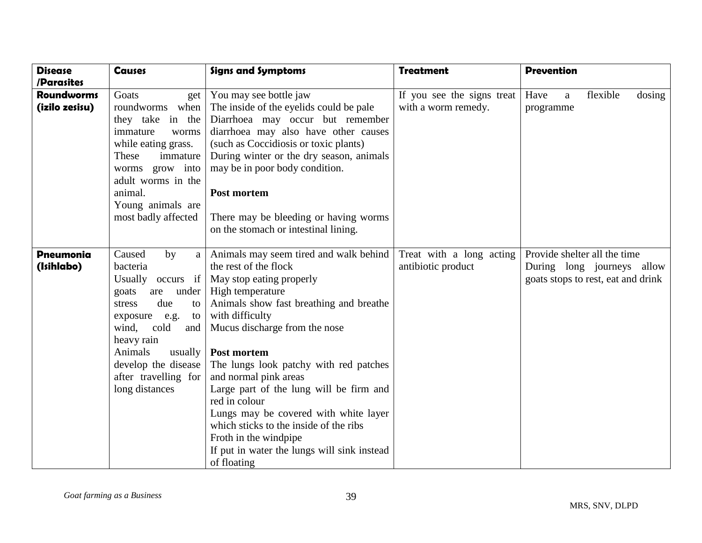| <b>Disease</b>    | <b>Causes</b>          | <b>Signs and Symptoms</b>                   | <b>Treatment</b>           | <b>Prevention</b>                  |
|-------------------|------------------------|---------------------------------------------|----------------------------|------------------------------------|
| /Parasites        |                        |                                             |                            |                                    |
| <b>Roundworms</b> | Goats<br>get           | You may see bottle jaw                      | If you see the signs treat | flexible<br>Have<br>dosing<br>a    |
| (izilo zesisu)    | roundworms when        | The inside of the eyelids could be pale     | with a worm remedy.        | programme                          |
|                   | they take in the       | Diarrhoea may occur but remember            |                            |                                    |
|                   | immature<br>worms      | diarrhoea may also have other causes        |                            |                                    |
|                   | while eating grass.    | (such as Coccidiosis or toxic plants)       |                            |                                    |
|                   | These<br>immature      | During winter or the dry season, animals    |                            |                                    |
|                   | worms grow into        | may be in poor body condition.              |                            |                                    |
|                   | adult worms in the     |                                             |                            |                                    |
|                   | animal.                | Post mortem                                 |                            |                                    |
|                   | Young animals are      |                                             |                            |                                    |
|                   | most badly affected    | There may be bleeding or having worms       |                            |                                    |
|                   |                        | on the stomach or intestinal lining.        |                            |                                    |
|                   |                        |                                             |                            |                                    |
| <b>Pneumonia</b>  | Caused<br>by<br>a      | Animals may seem tired and walk behind      | Treat with a long acting   | Provide shelter all the time       |
| (Isihlabo)        | bacteria               | the rest of the flock                       | antibiotic product         | During long journeys allow         |
|                   | Usually occurs         | if   May stop eating properly               |                            | goats stops to rest, eat and drink |
|                   | under<br>goats<br>are  | High temperature                            |                            |                                    |
|                   | due<br>stress<br>to    | Animals show fast breathing and breathe     |                            |                                    |
|                   | exposure<br>e.g.<br>to | with difficulty                             |                            |                                    |
|                   | wind, cold<br>and      | Mucus discharge from the nose               |                            |                                    |
|                   | heavy rain             |                                             |                            |                                    |
|                   | Animals<br>usually     | Post mortem                                 |                            |                                    |
|                   | develop the disease    | The lungs look patchy with red patches      |                            |                                    |
|                   | after travelling for   | and normal pink areas                       |                            |                                    |
|                   | long distances         | Large part of the lung will be firm and     |                            |                                    |
|                   |                        | red in colour                               |                            |                                    |
|                   |                        | Lungs may be covered with white layer       |                            |                                    |
|                   |                        | which sticks to the inside of the ribs      |                            |                                    |
|                   |                        | Froth in the windpipe                       |                            |                                    |
|                   |                        | If put in water the lungs will sink instead |                            |                                    |
|                   |                        | of floating                                 |                            |                                    |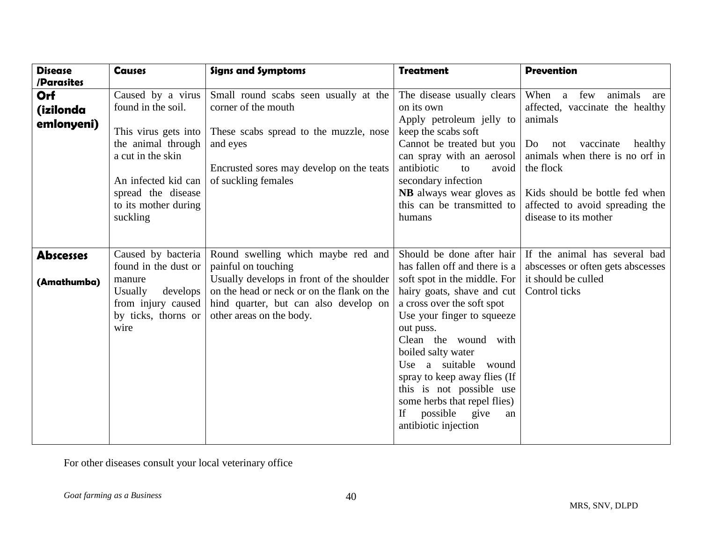| <b>Disease</b><br>/Parasites   | <b>Causes</b>                                                                                                                                                                               | <b>Signs and Symptoms</b>                                                                                                                                                             | <b>Treatment</b>                                                                                                                                                                                                                                                                                                              | <b>Prevention</b>                                                                                                                                                                                                                                                              |
|--------------------------------|---------------------------------------------------------------------------------------------------------------------------------------------------------------------------------------------|---------------------------------------------------------------------------------------------------------------------------------------------------------------------------------------|-------------------------------------------------------------------------------------------------------------------------------------------------------------------------------------------------------------------------------------------------------------------------------------------------------------------------------|--------------------------------------------------------------------------------------------------------------------------------------------------------------------------------------------------------------------------------------------------------------------------------|
| Orf<br>(izilonda<br>emlonyeni) | Caused by a virus<br>found in the soil.<br>This virus gets into<br>the animal through<br>a cut in the skin<br>An infected kid can<br>spread the disease<br>to its mother during<br>suckling | Small round scabs seen usually at the<br>corner of the mouth<br>These scabs spread to the muzzle, nose<br>and eyes<br>Encrusted sores may develop on the teats<br>of suckling females | The disease usually clears<br>on its own<br>Apply petroleum jelly to<br>keep the scabs soft<br>Cannot be treated but you<br>can spray with an aerosol<br>antibiotic<br>to<br>avoid<br>secondary infection<br><b>NB</b> always wear gloves as<br>this can be transmitted to<br>humans                                          | When<br>animals<br>$\mathbf{a}$<br>few<br>are<br>affected, vaccinate the healthy<br>animals<br>vaccinate<br>Do<br>not<br>healthy<br>animals when there is no orf in<br>the flock<br>Kids should be bottle fed when<br>affected to avoid spreading the<br>disease to its mother |
|                                |                                                                                                                                                                                             |                                                                                                                                                                                       |                                                                                                                                                                                                                                                                                                                               |                                                                                                                                                                                                                                                                                |
| <b>Abscesses</b>               | Caused by bacteria<br>found in the dust or<br>manure                                                                                                                                        | Round swelling which maybe red and<br>painful on touching<br>Usually develops in front of the shoulder                                                                                | Should be done after hair<br>has fallen off and there is a<br>soft spot in the middle. For                                                                                                                                                                                                                                    | If the animal has several bad<br>abscesses or often gets abscesses<br>it should be culled                                                                                                                                                                                      |
| (Amathumba)                    | <b>Usually</b><br>develops<br>from injury caused<br>by ticks, thorns or<br>wire                                                                                                             | on the head or neck or on the flank on the<br>hind quarter, but can also develop on<br>other areas on the body.                                                                       | hairy goats, shave and cut<br>a cross over the soft spot<br>Use your finger to squeeze<br>out puss.<br>Clean the wound with<br>boiled salty water<br>Use a suitable wound<br>spray to keep away flies (If<br>this is not possible use<br>some herbs that repel flies)<br>possible<br>give<br>If<br>an<br>antibiotic injection | Control ticks                                                                                                                                                                                                                                                                  |

For other diseases consult your local veterinary office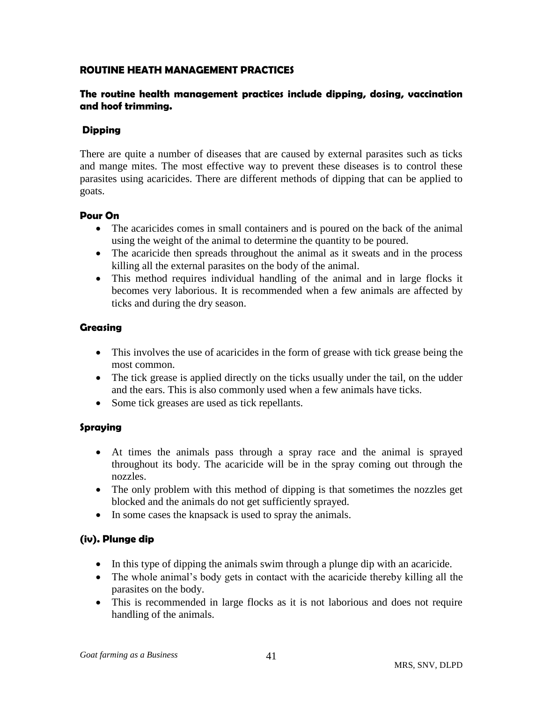## **ROUTINE HEATH MANAGEMENT PRACTICES**

## **The routine health management practices include dipping, dosing, vaccination and hoof trimming.**

## **Dipping**

There are quite a number of diseases that are caused by external parasites such as ticks and mange mites. The most effective way to prevent these diseases is to control these parasites using acaricides. There are different methods of dipping that can be applied to goats.

#### **Pour On**

- The acaricides comes in small containers and is poured on the back of the animal using the weight of the animal to determine the quantity to be poured.
- The acaricide then spreads throughout the animal as it sweats and in the process killing all the external parasites on the body of the animal.
- This method requires individual handling of the animal and in large flocks it becomes very laborious. It is recommended when a few animals are affected by ticks and during the dry season.

## **Greasing**

- This involves the use of acaricides in the form of grease with tick grease being the most common.
- The tick grease is applied directly on the ticks usually under the tail, on the udder and the ears. This is also commonly used when a few animals have ticks.
- Some tick greases are used as tick repellants.

#### **Spraying**

- At times the animals pass through a spray race and the animal is sprayed throughout its body. The acaricide will be in the spray coming out through the nozzles.
- The only problem with this method of dipping is that sometimes the nozzles get blocked and the animals do not get sufficiently sprayed.
- In some cases the knapsack is used to spray the animals.

# **(iv). Plunge dip**

- In this type of dipping the animals swim through a plunge dip with an acaricide.
- The whole animal's body gets in contact with the acaricide thereby killing all the parasites on the body.
- This is recommended in large flocks as it is not laborious and does not require handling of the animals.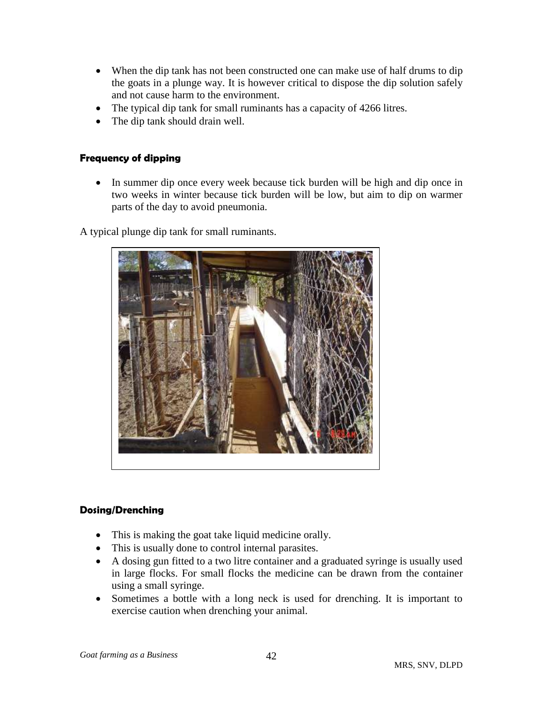- When the dip tank has not been constructed one can make use of half drums to dip the goats in a plunge way. It is however critical to dispose the dip solution safely and not cause harm to the environment.
- The typical dip tank for small ruminants has a capacity of 4266 litres.
- The dip tank should drain well.

## **Frequency of dipping**

• In summer dip once every week because tick burden will be high and dip once in two weeks in winter because tick burden will be low, but aim to dip on warmer parts of the day to avoid pneumonia.

A typical plunge dip tank for small ruminants.



#### **Dosing/Drenching**

- This is making the goat take liquid medicine orally.
- This is usually done to control internal parasites.
- A dosing gun fitted to a two litre container and a graduated syringe is usually used in large flocks. For small flocks the medicine can be drawn from the container using a small syringe.
- Sometimes a bottle with a long neck is used for drenching. It is important to exercise caution when drenching your animal.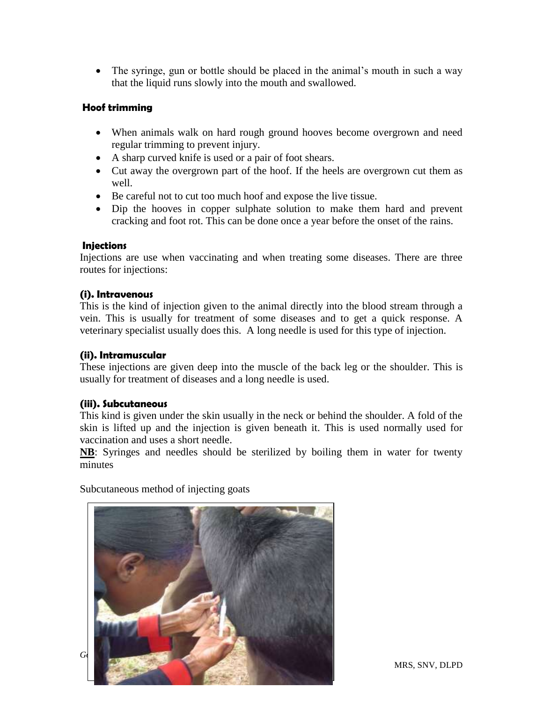• The syringe, gun or bottle should be placed in the animal's mouth in such a way that the liquid runs slowly into the mouth and swallowed.

## **Hoof trimming**

- When animals walk on hard rough ground hooves become overgrown and need regular trimming to prevent injury.
- A sharp curved knife is used or a pair of foot shears.
- Cut away the overgrown part of the hoof. If the heels are overgrown cut them as well.
- Be careful not to cut too much hoof and expose the live tissue.
- Dip the hooves in copper sulphate solution to make them hard and prevent cracking and foot rot. This can be done once a year before the onset of the rains.

#### **Injections**

Injections are use when vaccinating and when treating some diseases. There are three routes for injections:

#### **(i). Intravenous**

This is the kind of injection given to the animal directly into the blood stream through a vein. This is usually for treatment of some diseases and to get a quick response. A veterinary specialist usually does this. A long needle is used for this type of injection.

## **(ii). Intramuscular**

These injections are given deep into the muscle of the back leg or the shoulder. This is usually for treatment of diseases and a long needle is used.

#### **(iii). Subcutaneous**

This kind is given under the skin usually in the neck or behind the shoulder. A fold of the skin is lifted up and the injection is given beneath it. This is used normally used for vaccination and uses a short needle.

**NB**: Syringes and needles should be sterilized by boiling them in water for twenty minutes

Subcutaneous method of injecting goats

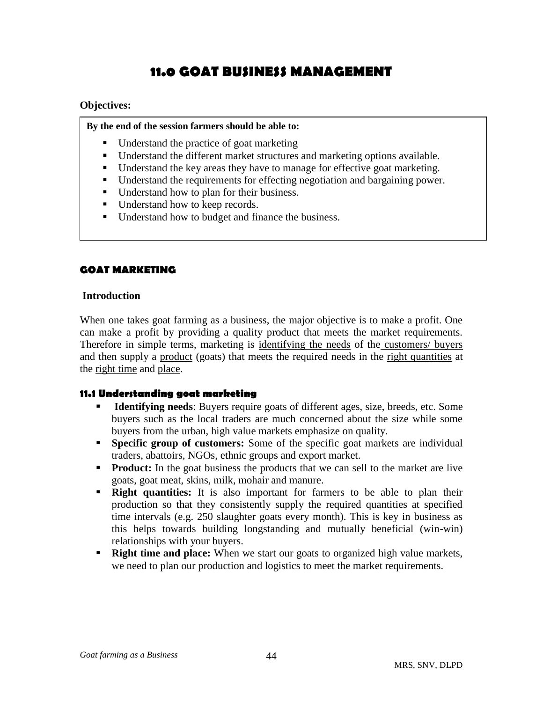# **11.0 GOAT BUSINESS MANAGEMENT**

#### **Objectives:**

**By the end of the session farmers should be able to:**

- Understand the practice of goat marketing
- Understand the different market structures and marketing options available.
- Understand the key areas they have to manage for effective goat marketing.
- Understand the requirements for effecting negotiation and bargaining power.
- Understand how to plan for their business.
- Understand how to keep records.
- Understand how to budget and finance the business.

# **GOAT MARKETING**

#### **Introduction**

When one takes goat farming as a business, the major objective is to make a profit. One can make a profit by providing a quality product that meets the market requirements. Therefore in simple terms, marketing is identifying the needs of the customers/ buyers and then supply a product (goats) that meets the required needs in the right quantities at the right time and place.

#### **11.1 Understanding goat marketing**

- **Identifying needs**: Buyers require goats of different ages, size, breeds, etc. Some buyers such as the local traders are much concerned about the size while some buyers from the urban, high value markets emphasize on quality.
- **Specific group of customers:** Some of the specific goat markets are individual traders, abattoirs, NGOs, ethnic groups and export market.
- **Product:** In the goat business the products that we can sell to the market are live goats, goat meat, skins, milk, mohair and manure.
- **Right quantities:** It is also important for farmers to be able to plan their production so that they consistently supply the required quantities at specified time intervals (e.g. 250 slaughter goats every month). This is key in business as this helps towards building longstanding and mutually beneficial (win-win) relationships with your buyers.
- **Right time and place:** When we start our goats to organized high value markets, we need to plan our production and logistics to meet the market requirements.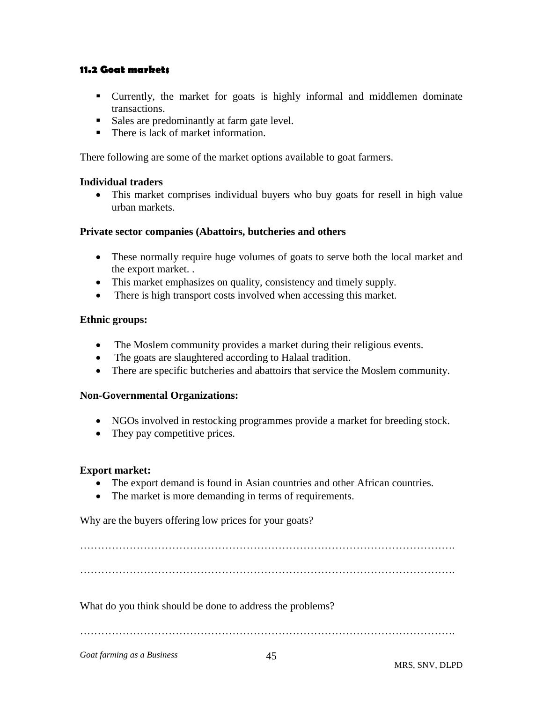## **11.2 Goat markets**

- Currently, the market for goats is highly informal and middlemen dominate transactions.
- Sales are predominantly at farm gate level.
- There is lack of market information.

There following are some of the market options available to goat farmers.

#### **Individual traders**

• This market comprises individual buyers who buy goats for resell in high value urban markets.

#### **Private sector companies (Abattoirs, butcheries and others**

- These normally require huge volumes of goats to serve both the local market and the export market. .
- This market emphasizes on quality, consistency and timely supply.
- There is high transport costs involved when accessing this market.

#### **Ethnic groups:**

- The Moslem community provides a market during their religious events.
- The goats are slaughtered according to Halaal tradition.
- There are specific butcheries and abattoirs that service the Moslem community.

#### **Non-Governmental Organizations:**

- NGOs involved in restocking programmes provide a market for breeding stock.
- They pay competitive prices.

#### **Export market:**

- The export demand is found in Asian countries and other African countries.
- The market is more demanding in terms of requirements.

Why are the buyers offering low prices for your goats?

…………………………………………………………………………………………….

What do you think should be done to address the problems?

…………………………………………………………………………………………….

*Goat farming as a Business*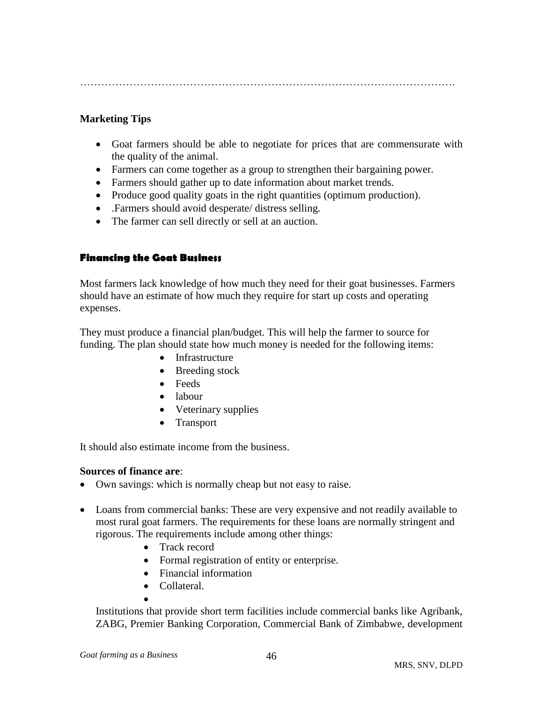…………………………………………………………………………………………….

# **Marketing Tips**

- Goat farmers should be able to negotiate for prices that are commensurate with the quality of the animal.
- Farmers can come together as a group to strengthen their bargaining power.
- Farmers should gather up to date information about market trends.
- Produce good quality goats in the right quantities (optimum production).
- .Farmers should avoid desperate/ distress selling.
- The farmer can sell directly or sell at an auction.

## **Financing the Goat Business**

Most farmers lack knowledge of how much they need for their goat businesses. Farmers should have an estimate of how much they require for start up costs and operating expenses.

They must produce a financial plan/budget. This will help the farmer to source for funding. The plan should state how much money is needed for the following items:

- Infrastructure
- Breeding stock
- Feeds
- labour
- Veterinary supplies
- Transport

It should also estimate income from the business.

#### **Sources of finance are**:

- Own savings: which is normally cheap but not easy to raise.
- Loans from commercial banks: These are very expensive and not readily available to most rural goat farmers. The requirements for these loans are normally stringent and rigorous. The requirements include among other things:
	- Track record
	- Formal registration of entity or enterprise.
	- Financial information
	- Collateral.
	- $\bullet$

Institutions that provide short term facilities include commercial banks like Agribank, ZABG, Premier Banking Corporation, Commercial Bank of Zimbabwe, development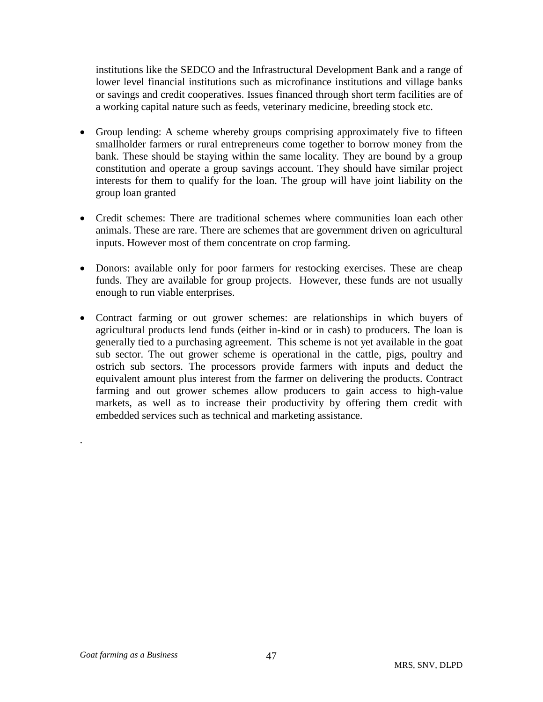institutions like the SEDCO and the Infrastructural Development Bank and a range of lower level financial institutions such as microfinance institutions and village banks or savings and credit cooperatives. Issues financed through short term facilities are of a working capital nature such as feeds, veterinary medicine, breeding stock etc.

- Group lending: A scheme whereby groups comprising approximately five to fifteen smallholder farmers or rural entrepreneurs come together to borrow money from the bank. These should be staying within the same locality. They are bound by a group constitution and operate a group savings account. They should have similar project interests for them to qualify for the loan. The group will have joint liability on the group loan granted
- Credit schemes: There are traditional schemes where communities loan each other animals. These are rare. There are schemes that are government driven on agricultural inputs. However most of them concentrate on crop farming.
- Donors: available only for poor farmers for restocking exercises. These are cheap funds. They are available for group projects. However, these funds are not usually enough to run viable enterprises.
- Contract farming or out grower schemes: are relationships in which buyers of agricultural products lend funds (either in-kind or in cash) to producers. The loan is generally tied to a purchasing agreement. This scheme is not yet available in the goat sub sector. The out grower scheme is operational in the cattle, pigs, poultry and ostrich sub sectors. The processors provide farmers with inputs and deduct the equivalent amount plus interest from the farmer on delivering the products. Contract farming and out grower schemes allow producers to gain access to high-value markets, as well as to increase their productivity by offering them credit with embedded services such as technical and marketing assistance.

.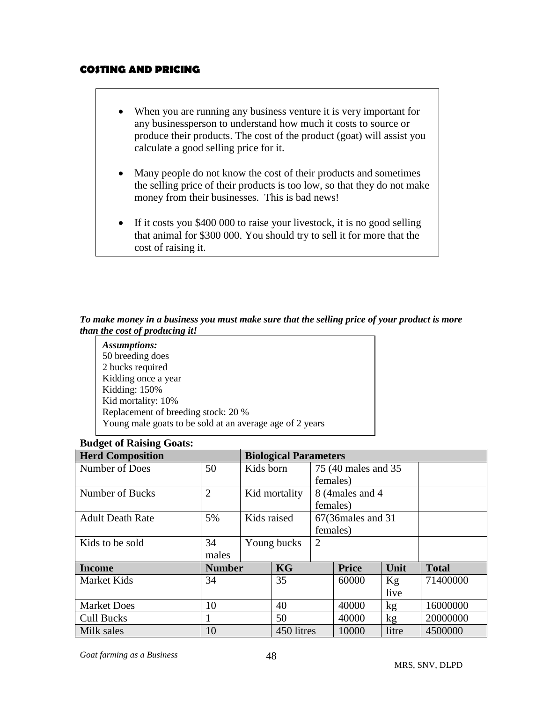# **COSTING AND PRICING**

- When you are running any business venture it is very important for any businessperson to understand how much it costs to source or produce their products. The cost of the product (goat) will assist you calculate a good selling price for it.
- Many people do not know the cost of their products and sometimes the selling price of their products is too low, so that they do not make money from their businesses. This is bad news!
- If it costs you \$400 000 to raise your livestock, it is no good selling that animal for \$300 000. You should try to sell it for more that the cost of raising it.

#### *To make money in a business you must make sure that the selling price of your product is more than the cost of producing it!*

| Assumptions:                                             |
|----------------------------------------------------------|
| 50 breeding does                                         |
| 2 bucks required                                         |
| Kidding once a year                                      |
| Kidding: 150%                                            |
| Kid mortality: 10%                                       |
| Replacement of breeding stock: 20 %                      |
| Young male goats to be sold at an average age of 2 years |

# **Budget of Raising Goats:**

| <b>Herd Composition</b>        | <b>Biological Parameters</b> |             |               |                      |                    |                 |              |
|--------------------------------|------------------------------|-------------|---------------|----------------------|--------------------|-----------------|--------------|
| Number of Does                 | 50                           | Kids born   |               | 75 (40 males and 35) |                    |                 |              |
|                                |                              |             |               | females)             |                    |                 |              |
| Number of Bucks                | $\overline{2}$               |             | Kid mortality |                      | 8 (4 males and 4   |                 |              |
|                                |                              |             |               | females)             |                    |                 |              |
| <b>Adult Death Rate</b>        | 5%                           | Kids raised |               |                      | 67(36males and 31) |                 |              |
|                                |                              |             |               | females)             |                    |                 |              |
| Kids to be sold                | 34                           | Young bucks |               | $\overline{2}$       |                    |                 |              |
|                                | males                        |             |               |                      |                    |                 |              |
| <b>Number</b><br><b>Income</b> |                              |             | KG            |                      | <b>Price</b>       | Unit            | <b>Total</b> |
| Market Kids                    | 34                           |             | 35            |                      | 60000              | Kg              | 71400000     |
|                                |                              |             |               |                      |                    | live            |              |
| <b>Market Does</b>             | 10                           |             | 40            |                      | 40000              | kg <sub>2</sub> | 16000000     |
| Cull Bucks                     |                              |             | 50            |                      | 40000              | kg              | 20000000     |
| Milk sales                     | 10                           |             | 450 litres    |                      | 10000              | litre           | 4500000      |

*Goat farming as a Business*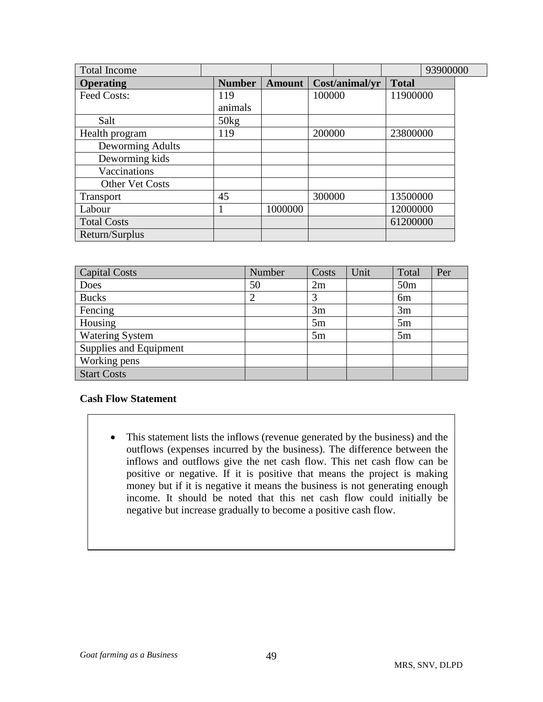| <b>Total Income</b>    |               |               |        |                |              | 93900000 |  |
|------------------------|---------------|---------------|--------|----------------|--------------|----------|--|
| <b>Operating</b>       | <b>Number</b> | <b>Amount</b> |        | Cost/animal/yr | <b>Total</b> |          |  |
| Feed Costs:            | 119           |               | 100000 |                | 11900000     |          |  |
|                        | animals       |               |        |                |              |          |  |
| Salt                   | 50kg          |               |        |                |              |          |  |
| Health program         | 119           |               | 200000 |                | 23800000     |          |  |
| Deworming Adults       |               |               |        |                |              |          |  |
| Deworming kids         |               |               |        |                |              |          |  |
| Vaccinations           |               |               |        |                |              |          |  |
| <b>Other Vet Costs</b> |               |               |        |                |              |          |  |
| <b>Transport</b>       | 45            |               | 300000 |                | 13500000     |          |  |
| Labour                 |               | 1000000       |        |                | 12000000     |          |  |
| <b>Total Costs</b>     |               |               |        |                | 61200000     |          |  |
| Return/Surplus         |               |               |        |                |              |          |  |

| <b>Capital Costs</b>   | Number | Costs | Unit | Total           | Per |
|------------------------|--------|-------|------|-----------------|-----|
| Does                   | 50     | 2m    |      | 50 <sub>m</sub> |     |
| <b>Bucks</b>           |        |       |      | 6 <sub>m</sub>  |     |
| Fencing                |        | 3m    |      | 3m              |     |
| Housing                |        | 5m    |      | 5m              |     |
| <b>Watering System</b> |        | 5m    |      | 5m              |     |
| Supplies and Equipment |        |       |      |                 |     |
| Working pens           |        |       |      |                 |     |
| <b>Start Costs</b>     |        |       |      |                 |     |

# **Cash Flow Statement**

 This statement lists the inflows (revenue generated by the business) and the outflows (expenses incurred by the business). The difference between the inflows and outflows give the net cash flow. This net cash flow can be positive or negative. If it is positive that means the project is making money but if it is negative it means the business is not generating enough income. It should be noted that this net cash flow could initially be negative but increase gradually to become a positive cash flow.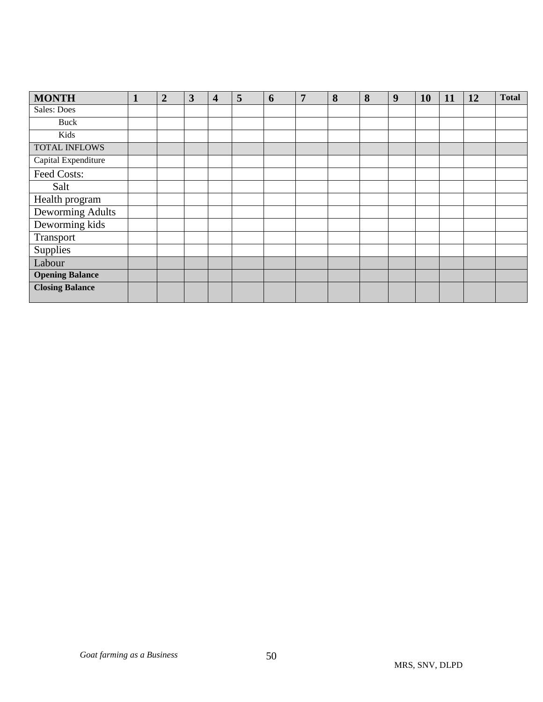| <b>MONTH</b>           | $\mathbf{1}$ | $\overline{2}$ | 3 | $\overline{\mathbf{4}}$ | 5 | 6 | 7 | 8 | 8 | 9 | 10 | 11 | 12 | <b>Total</b> |
|------------------------|--------------|----------------|---|-------------------------|---|---|---|---|---|---|----|----|----|--------------|
| <b>Sales: Does</b>     |              |                |   |                         |   |   |   |   |   |   |    |    |    |              |
| Buck                   |              |                |   |                         |   |   |   |   |   |   |    |    |    |              |
| Kids                   |              |                |   |                         |   |   |   |   |   |   |    |    |    |              |
| <b>TOTAL INFLOWS</b>   |              |                |   |                         |   |   |   |   |   |   |    |    |    |              |
| Capital Expenditure    |              |                |   |                         |   |   |   |   |   |   |    |    |    |              |
| Feed Costs:            |              |                |   |                         |   |   |   |   |   |   |    |    |    |              |
| Salt                   |              |                |   |                         |   |   |   |   |   |   |    |    |    |              |
| Health program         |              |                |   |                         |   |   |   |   |   |   |    |    |    |              |
| Deworming Adults       |              |                |   |                         |   |   |   |   |   |   |    |    |    |              |
| Deworming kids         |              |                |   |                         |   |   |   |   |   |   |    |    |    |              |
| Transport              |              |                |   |                         |   |   |   |   |   |   |    |    |    |              |
| Supplies               |              |                |   |                         |   |   |   |   |   |   |    |    |    |              |
| Labour                 |              |                |   |                         |   |   |   |   |   |   |    |    |    |              |
| <b>Opening Balance</b> |              |                |   |                         |   |   |   |   |   |   |    |    |    |              |
| <b>Closing Balance</b> |              |                |   |                         |   |   |   |   |   |   |    |    |    |              |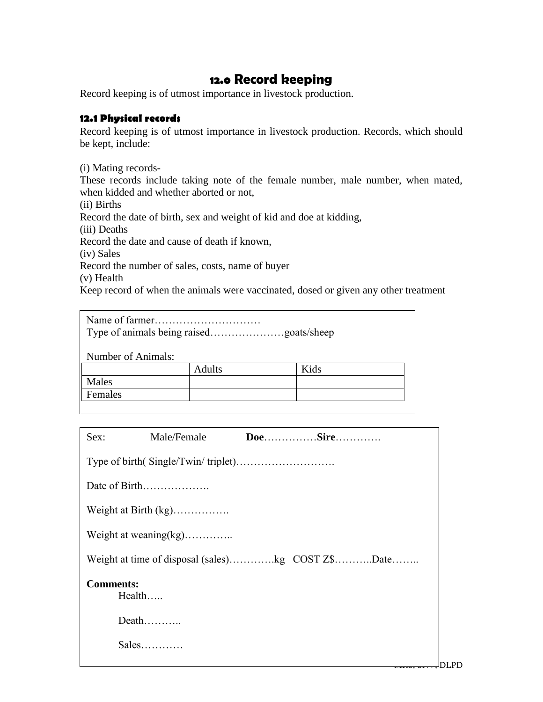# **12.0 Record keeping**

Record keeping is of utmost importance in livestock production.

## **12.1 Physical records**

Record keeping is of utmost importance in livestock production. Records, which should be kept, include:

(i) Mating records-

These records include taking note of the female number, male number, when mated, when kidded and whether aborted or not,

(ii) Births

Record the date of birth, sex and weight of kid and doe at kidding,

(iii) Deaths

Record the date and cause of death if known,

(iv) Sales

Record the number of sales, costs, name of buyer

(v) Health

Keep record of when the animals were vaccinated, dosed or given any other treatment

| Number of Animals: |               |      |
|--------------------|---------------|------|
|                    | <b>Adults</b> | Kids |
| Males              |               |      |
| Females            |               |      |
|                    |               |      |

| Sex: | Male/Female                  |                                                   |  |  |  |  |  |
|------|------------------------------|---------------------------------------------------|--|--|--|--|--|
|      |                              |                                                   |  |  |  |  |  |
|      | Date of Birth                |                                                   |  |  |  |  |  |
|      |                              |                                                   |  |  |  |  |  |
|      | Weight at weaning(kg)        |                                                   |  |  |  |  |  |
|      |                              | Weight at time of disposal (sales)kg COST Z\$Date |  |  |  |  |  |
|      | <b>Comments:</b><br>$Health$ |                                                   |  |  |  |  |  |
|      | Death                        |                                                   |  |  |  |  |  |
|      | $Sales$                      |                                                   |  |  |  |  |  |
|      |                              | mmo, pr                                           |  |  |  |  |  |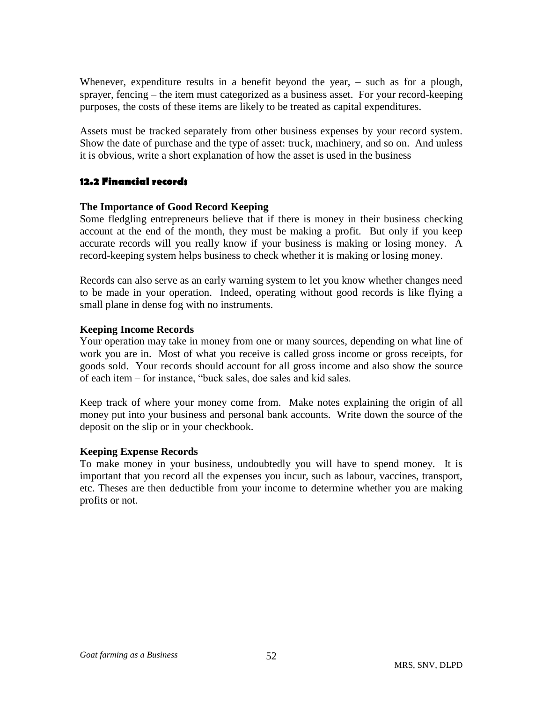Whenever, expenditure results in a benefit beyond the year, – such as for a plough, sprayer, fencing – the item must categorized as a business asset. For your record-keeping purposes, the costs of these items are likely to be treated as capital expenditures.

Assets must be tracked separately from other business expenses by your record system. Show the date of purchase and the type of asset: truck, machinery, and so on. And unless it is obvious, write a short explanation of how the asset is used in the business

# **12.2 Financial records**

#### **The Importance of Good Record Keeping**

Some fledgling entrepreneurs believe that if there is money in their business checking account at the end of the month, they must be making a profit. But only if you keep accurate records will you really know if your business is making or losing money. A record-keeping system helps business to check whether it is making or losing money.

Records can also serve as an early warning system to let you know whether changes need to be made in your operation. Indeed, operating without good records is like flying a small plane in dense fog with no instruments.

## **Keeping Income Records**

Your operation may take in money from one or many sources, depending on what line of work you are in. Most of what you receive is called gross income or gross receipts, for goods sold. Your records should account for all gross income and also show the source of each item – for instance, "buck sales, doe sales and kid sales.

Keep track of where your money come from. Make notes explaining the origin of all money put into your business and personal bank accounts. Write down the source of the deposit on the slip or in your checkbook.

#### **Keeping Expense Records**

To make money in your business, undoubtedly you will have to spend money. It is important that you record all the expenses you incur, such as labour, vaccines, transport, etc. Theses are then deductible from your income to determine whether you are making profits or not.